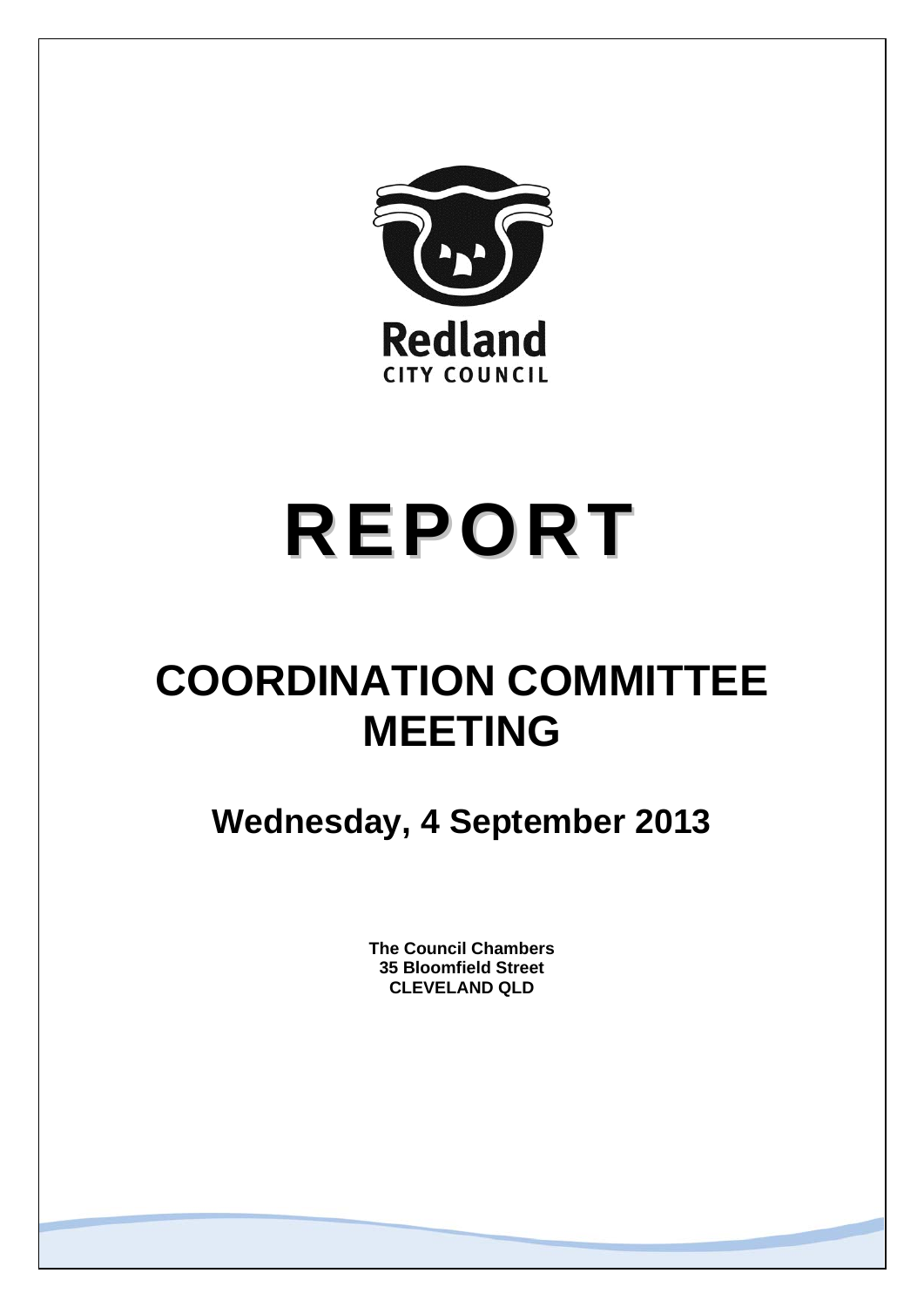

# **REPORT**

# **COORDINATION COMMITTEE MEETING**

**Wednesday, 4 September 2013** 

**The Council Chambers 35 Bloomfield Street CLEVELAND QLD**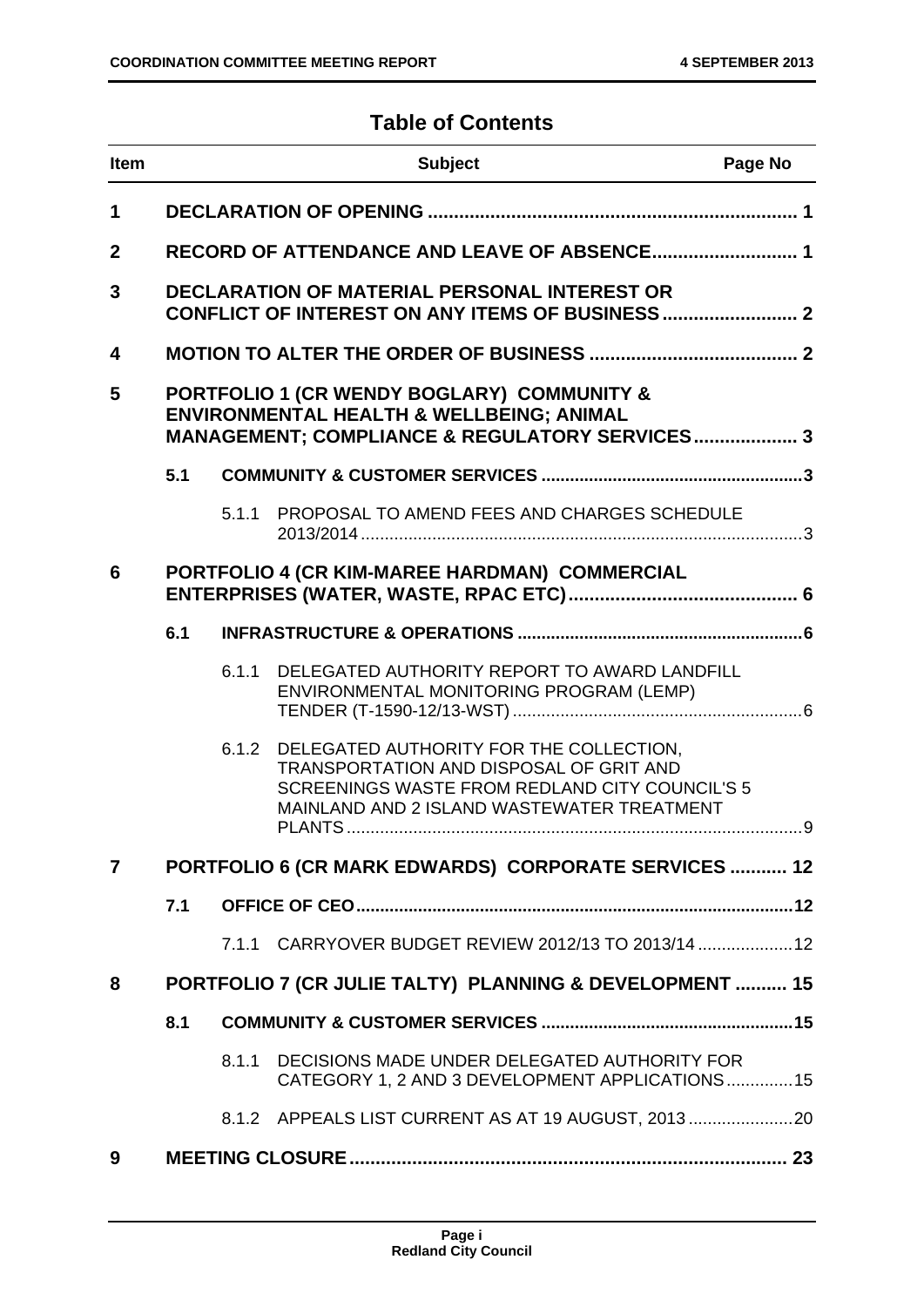# **Table of Contents**

| <b>Item</b>    |                                                                                                                                                     |       | <b>Subject</b>                                                                                                                                                                     | Page No |
|----------------|-----------------------------------------------------------------------------------------------------------------------------------------------------|-------|------------------------------------------------------------------------------------------------------------------------------------------------------------------------------------|---------|
| $\mathbf 1$    |                                                                                                                                                     |       |                                                                                                                                                                                    |         |
| $\mathbf{2}$   |                                                                                                                                                     |       |                                                                                                                                                                                    |         |
| 3              |                                                                                                                                                     |       | DECLARATION OF MATERIAL PERSONAL INTEREST OR                                                                                                                                       |         |
| 4              |                                                                                                                                                     |       |                                                                                                                                                                                    |         |
| 5              | PORTFOLIO 1 (CR WENDY BOGLARY) COMMUNITY &<br><b>ENVIRONMENTAL HEALTH &amp; WELLBEING; ANIMAL</b><br>MANAGEMENT; COMPLIANCE & REGULATORY SERVICES 3 |       |                                                                                                                                                                                    |         |
|                | 5.1                                                                                                                                                 |       |                                                                                                                                                                                    |         |
|                |                                                                                                                                                     | 5.1.1 | PROPOSAL TO AMEND FEES AND CHARGES SCHEDULE                                                                                                                                        |         |
| 6              |                                                                                                                                                     |       | PORTFOLIO 4 (CR KIM-MAREE HARDMAN) COMMERCIAL                                                                                                                                      |         |
|                | 6.1                                                                                                                                                 |       |                                                                                                                                                                                    |         |
|                |                                                                                                                                                     | 6.1.1 | DELEGATED AUTHORITY REPORT TO AWARD LANDFILL<br>ENVIRONMENTAL MONITORING PROGRAM (LEMP)                                                                                            |         |
|                |                                                                                                                                                     | 6.1.2 | DELEGATED AUTHORITY FOR THE COLLECTION,<br>TRANSPORTATION AND DISPOSAL OF GRIT AND<br>SCREENINGS WASTE FROM REDLAND CITY COUNCIL'S 5<br>MAINLAND AND 2 ISLAND WASTEWATER TREATMENT |         |
| $\overline{7}$ |                                                                                                                                                     |       | PORTFOLIO 6 (CR MARK EDWARDS) CORPORATE SERVICES  12                                                                                                                               |         |
|                | 7.1                                                                                                                                                 |       |                                                                                                                                                                                    |         |
|                |                                                                                                                                                     | 7.1.1 | CARRYOVER BUDGET REVIEW 2012/13 TO 2013/14  12                                                                                                                                     |         |
| 8              |                                                                                                                                                     |       | PORTFOLIO 7 (CR JULIE TALTY) PLANNING & DEVELOPMENT  15                                                                                                                            |         |
|                | 8.1                                                                                                                                                 |       |                                                                                                                                                                                    |         |
|                |                                                                                                                                                     | 8.1.1 | DECISIONS MADE UNDER DELEGATED AUTHORITY FOR<br>CATEGORY 1, 2 AND 3 DEVELOPMENT APPLICATIONS15                                                                                     |         |
|                |                                                                                                                                                     |       | 8.1.2 APPEALS LIST CURRENT AS AT 19 AUGUST, 2013                                                                                                                                   |         |
| 9              |                                                                                                                                                     |       |                                                                                                                                                                                    |         |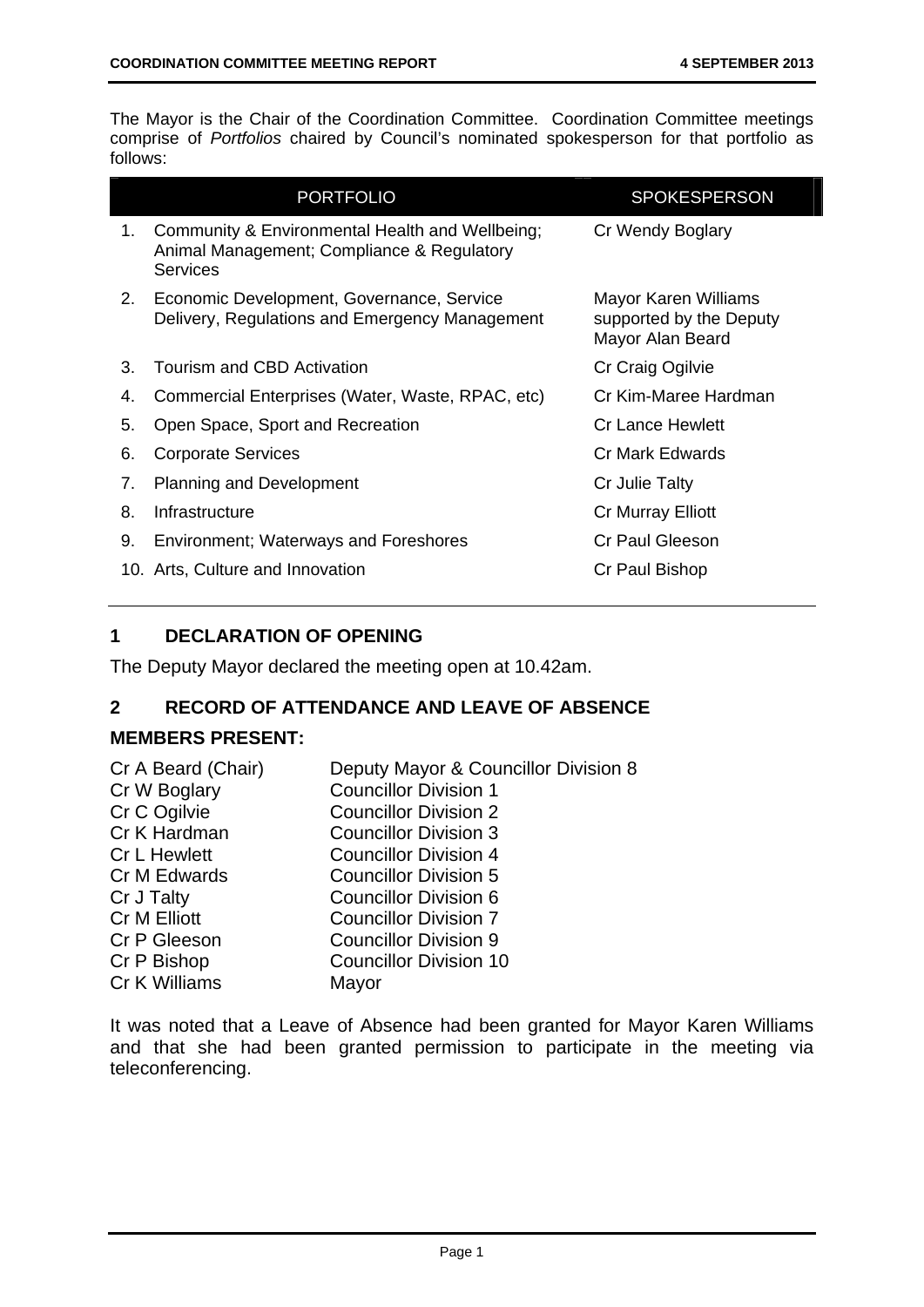The Mayor is the Chair of the Coordination Committee. Coordination Committee meetings comprise of *Portfolios* chaired by Council's nominated spokesperson for that portfolio as follows:

|    | <b>PORTFOLIO</b>                                                                                                 | <b>SPOKESPERSON</b>                                                 |
|----|------------------------------------------------------------------------------------------------------------------|---------------------------------------------------------------------|
| 1. | Community & Environmental Health and Wellbeing;<br>Animal Management; Compliance & Regulatory<br><b>Services</b> | Cr Wendy Boglary                                                    |
| 2. | Economic Development, Governance, Service<br>Delivery, Regulations and Emergency Management                      | Mayor Karen Williams<br>supported by the Deputy<br>Mayor Alan Beard |
| 3. | Tourism and CBD Activation                                                                                       | Cr Craig Ogilvie                                                    |
| 4. | Commercial Enterprises (Water, Waste, RPAC, etc)                                                                 | Cr Kim-Maree Hardman                                                |
| 5. | Open Space, Sport and Recreation                                                                                 | <b>Cr Lance Hewlett</b>                                             |
| 6. | <b>Corporate Services</b>                                                                                        | Cr Mark Edwards                                                     |
| 7. | <b>Planning and Development</b>                                                                                  | Cr Julie Talty                                                      |
| 8. | Infrastructure                                                                                                   | <b>Cr Murray Elliott</b>                                            |
| 9. | <b>Environment; Waterways and Foreshores</b>                                                                     | <b>Cr Paul Gleeson</b>                                              |
|    | 10. Arts, Culture and Innovation                                                                                 | Cr Paul Bishop                                                      |

# **1 DECLARATION OF OPENING**

The Deputy Mayor declared the meeting open at 10.42am.

# **2 RECORD OF ATTENDANCE AND LEAVE OF ABSENCE**

#### **MEMBERS PRESENT:**

| Cr A Beard (Chair)  | Deputy Mayor & Councillor Division 8 |
|---------------------|--------------------------------------|
| Cr W Boglary        | <b>Councillor Division 1</b>         |
| Cr C Ogilvie        | <b>Councillor Division 2</b>         |
| Cr K Hardman        | <b>Councillor Division 3</b>         |
| <b>Cr L Hewlett</b> | <b>Councillor Division 4</b>         |
| Cr M Edwards        | <b>Councillor Division 5</b>         |
| Cr J Talty          | <b>Councillor Division 6</b>         |
| <b>Cr M Elliott</b> | <b>Councillor Division 7</b>         |
| Cr P Gleeson        | <b>Councillor Division 9</b>         |
| Cr P Bishop         | <b>Councillor Division 10</b>        |
| Cr K Williams       | Mayor                                |
|                     |                                      |

It was noted that a Leave of Absence had been granted for Mayor Karen Williams and that she had been granted permission to participate in the meeting via teleconferencing.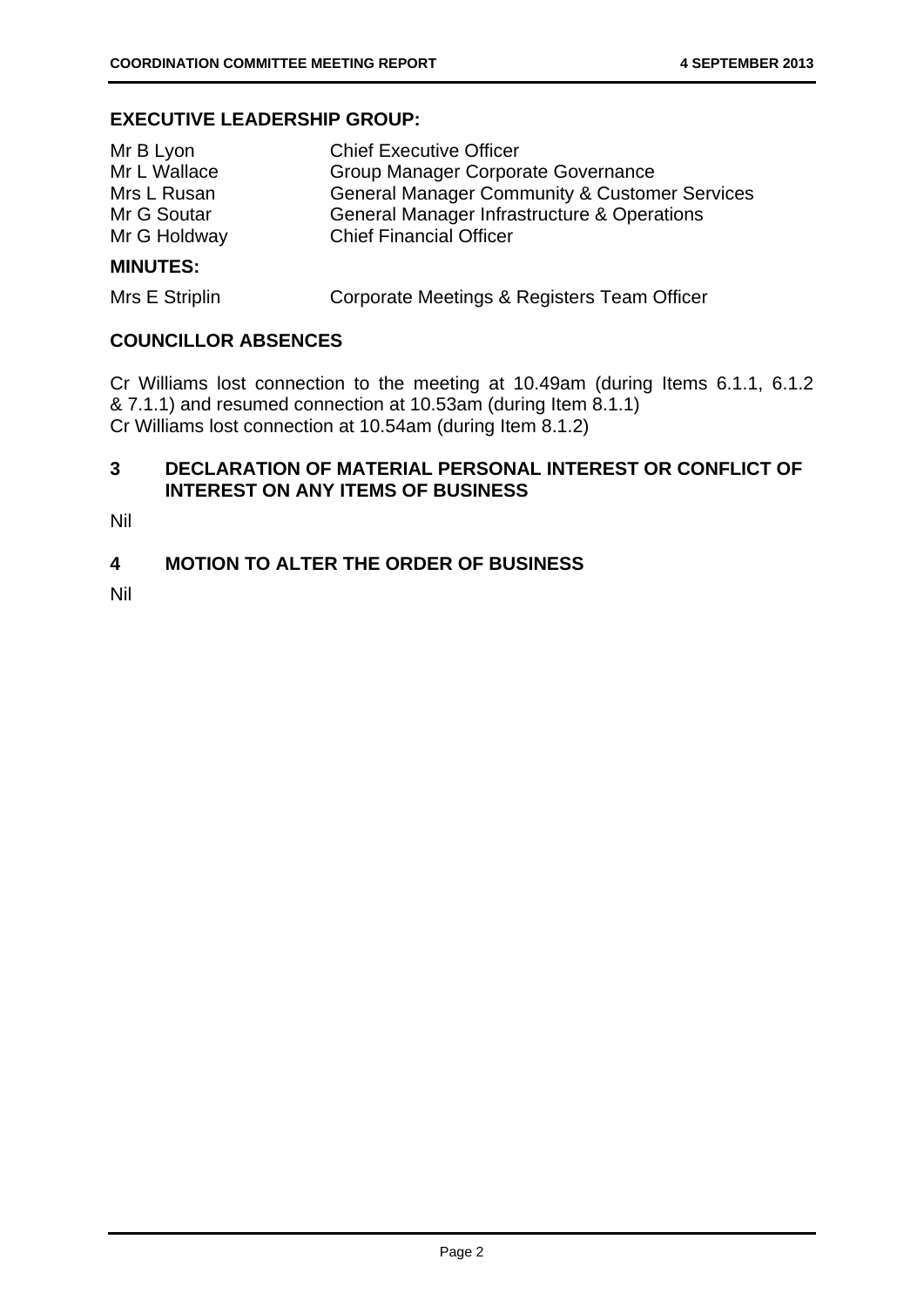#### **EXECUTIVE LEADERSHIP GROUP:**

| MINILITEC.   |                                                          |
|--------------|----------------------------------------------------------|
| Mr G Holdway | <b>Chief Financial Officer</b>                           |
| Mr G Soutar  | General Manager Infrastructure & Operations              |
| Mrs L Rusan  | <b>General Manager Community &amp; Customer Services</b> |
| Mr L Wallace | Group Manager Corporate Governance                       |
| Mr B Lyon    | <b>Chief Executive Officer</b>                           |

#### **MINUTES:**

Mrs E Striplin Corporate Meetings & Registers Team Officer

#### **COUNCILLOR ABSENCES**

Cr Williams lost connection to the meeting at 10.49am (during Items 6.1.1, 6.1.2 & 7.1.1) and resumed connection at 10.53am (during Item 8.1.1) Cr Williams lost connection at 10.54am (during Item 8.1.2)

# **3 DECLARATION OF MATERIAL PERSONAL INTEREST OR CONFLICT OF INTEREST ON ANY ITEMS OF BUSINESS**

Nil

### **4 MOTION TO ALTER THE ORDER OF BUSINESS**

Nil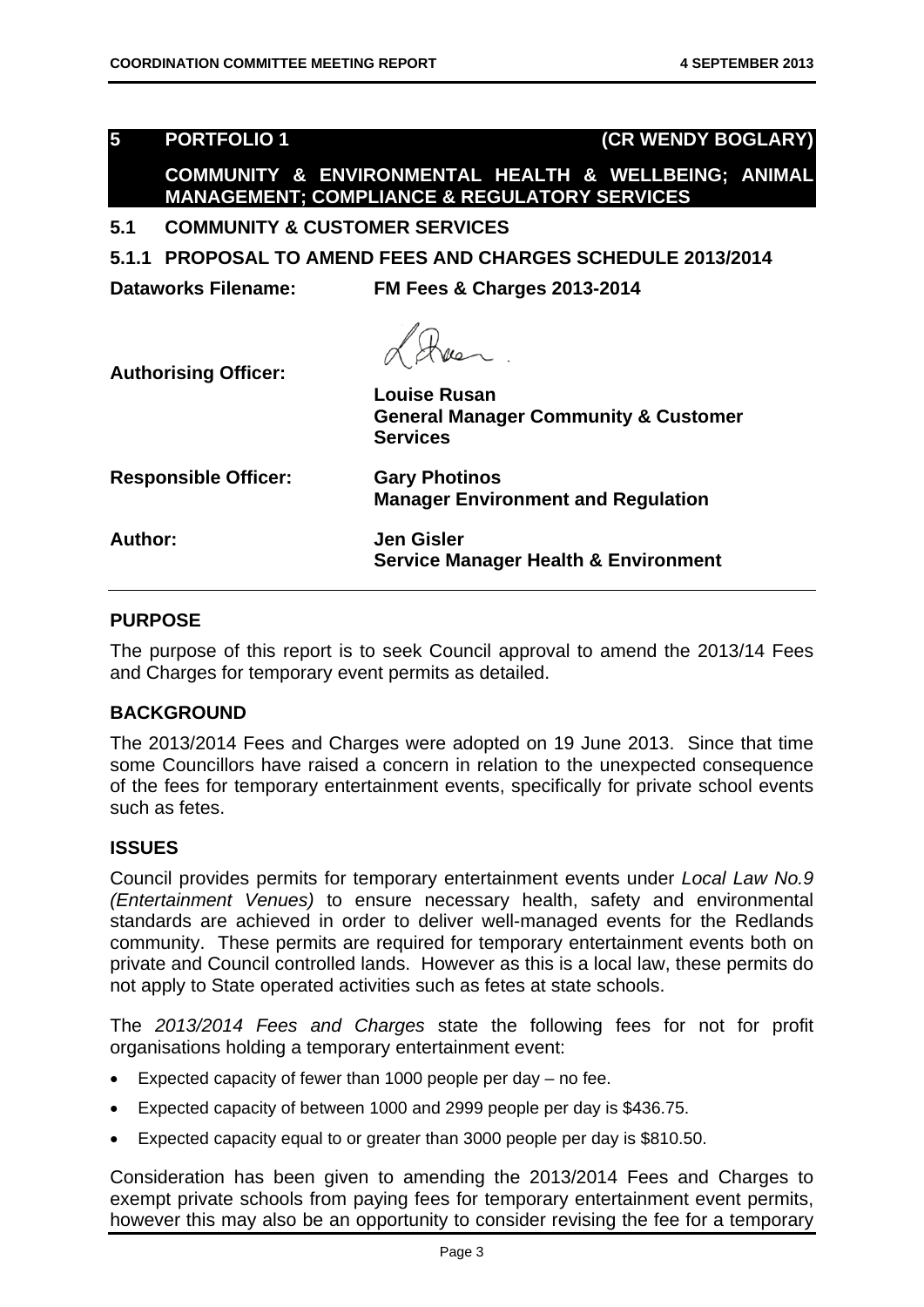| $\overline{\mathbf{5}}$     | <b>PORTFOLIO1</b>                        |                                                                                                                 | (CR WENDY BOGLARY) |
|-----------------------------|------------------------------------------|-----------------------------------------------------------------------------------------------------------------|--------------------|
|                             |                                          | COMMUNITY & ENVIRONMENTAL HEALTH & WELLBEING; ANIMAL<br><b>MANAGEMENT; COMPLIANCE &amp; REGULATORY SERVICES</b> |                    |
| 5.1                         | <b>COMMUNITY &amp; CUSTOMER SERVICES</b> |                                                                                                                 |                    |
|                             |                                          | 5.1.1 PROPOSAL TO AMEND FEES AND CHARGES SCHEDULE 2013/2014                                                     |                    |
|                             | <b>Dataworks Filename:</b>               | <b>FM Fees &amp; Charges 2013-2014</b>                                                                          |                    |
| <b>Authorising Officer:</b> |                                          | <b>Louise Rusan</b><br><b>General Manager Community &amp; Customer</b><br><b>Services</b>                       |                    |
| <b>Responsible Officer:</b> |                                          | <b>Gary Photinos</b><br><b>Manager Environment and Regulation</b>                                               |                    |
| Author:                     |                                          | <b>Jen Gisler</b><br><b>Service Manager Health &amp; Environment</b>                                            |                    |
| <b>PURPOSE</b>              |                                          |                                                                                                                 |                    |

#### **PURPOSE**

The purpose of this report is to seek Council approval to amend the 2013/14 Fees and Charges for temporary event permits as detailed.

# **BACKGROUND**

The 2013/2014 Fees and Charges were adopted on 19 June 2013. Since that time some Councillors have raised a concern in relation to the unexpected consequence of the fees for temporary entertainment events, specifically for private school events such as fetes.

#### **ISSUES**

Council provides permits for temporary entertainment events under *Local Law No.9 (Entertainment Venues)* to ensure necessary health, safety and environmental standards are achieved in order to deliver well-managed events for the Redlands community. These permits are required for temporary entertainment events both on private and Council controlled lands. However as this is a local law, these permits do not apply to State operated activities such as fetes at state schools.

The *2013/2014 Fees and Charges* state the following fees for not for profit organisations holding a temporary entertainment event:

- Expected capacity of fewer than 1000 people per day no fee.
- Expected capacity of between 1000 and 2999 people per day is \$436.75.
- Expected capacity equal to or greater than 3000 people per day is \$810.50.

Consideration has been given to amending the 2013/2014 Fees and Charges to exempt private schools from paying fees for temporary entertainment event permits, however this may also be an opportunity to consider revising the fee for a temporary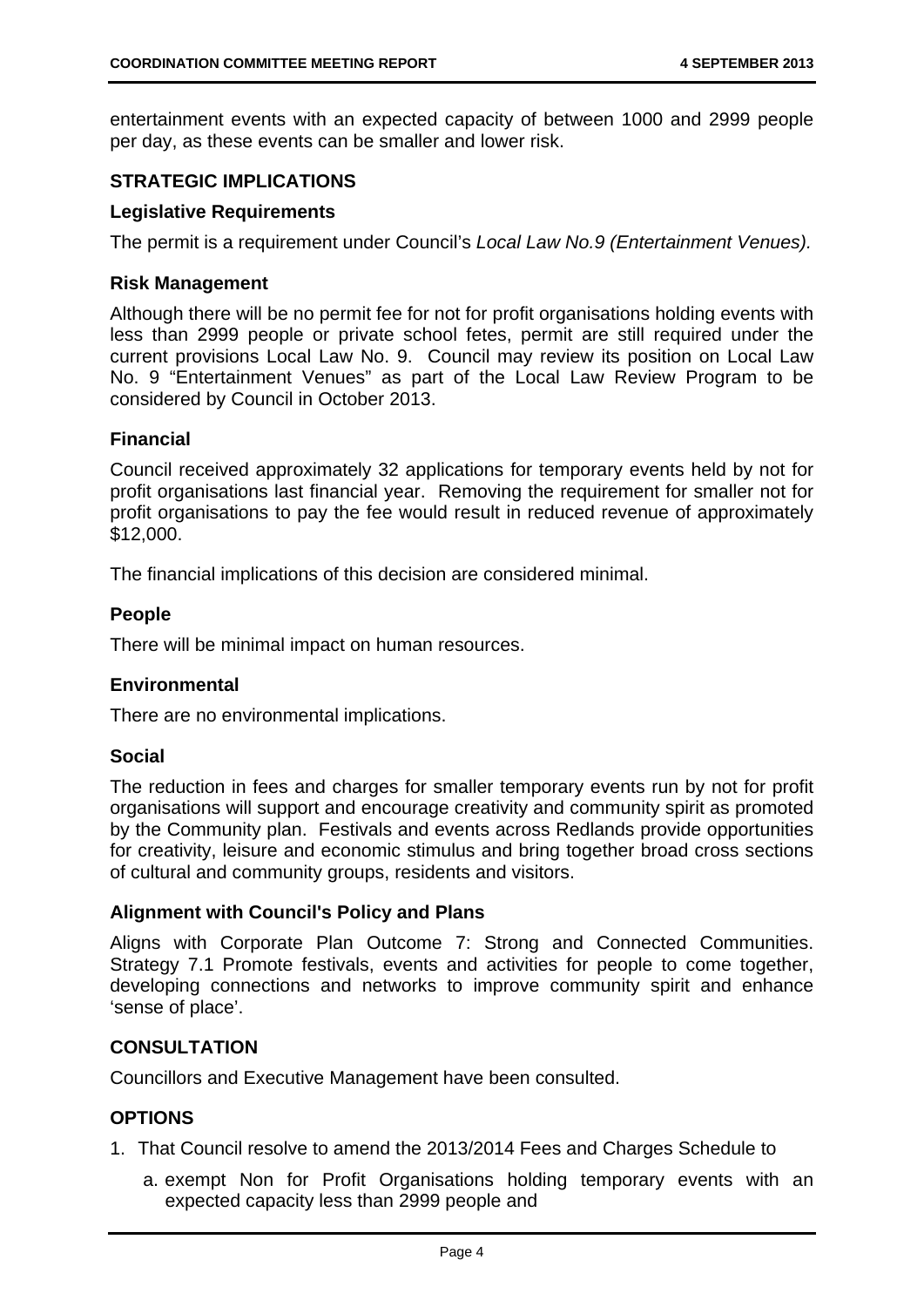entertainment events with an expected capacity of between 1000 and 2999 people per day, as these events can be smaller and lower risk.

# **STRATEGIC IMPLICATIONS**

#### **Legislative Requirements**

The permit is a requirement under Council's *Local Law No.9 (Entertainment Venues).*

#### **Risk Management**

Although there will be no permit fee for not for profit organisations holding events with less than 2999 people or private school fetes, permit are still required under the current provisions Local Law No. 9. Council may review its position on Local Law No. 9 "Entertainment Venues" as part of the Local Law Review Program to be considered by Council in October 2013.

#### **Financial**

Council received approximately 32 applications for temporary events held by not for profit organisations last financial year. Removing the requirement for smaller not for profit organisations to pay the fee would result in reduced revenue of approximately \$12,000.

The financial implications of this decision are considered minimal.

#### **People**

There will be minimal impact on human resources.

### **Environmental**

There are no environmental implications.

#### **Social**

The reduction in fees and charges for smaller temporary events run by not for profit organisations will support and encourage creativity and community spirit as promoted by the Community plan. Festivals and events across Redlands provide opportunities for creativity, leisure and economic stimulus and bring together broad cross sections of cultural and community groups, residents and visitors.

#### **Alignment with Council's Policy and Plans**

Aligns with Corporate Plan Outcome 7: Strong and Connected Communities. Strategy 7.1 Promote festivals, events and activities for people to come together, developing connections and networks to improve community spirit and enhance 'sense of place'.

### **CONSULTATION**

Councillors and Executive Management have been consulted.

### **OPTIONS**

- 1. That Council resolve to amend the 2013/2014 Fees and Charges Schedule to
	- a. exempt Non for Profit Organisations holding temporary events with an expected capacity less than 2999 people and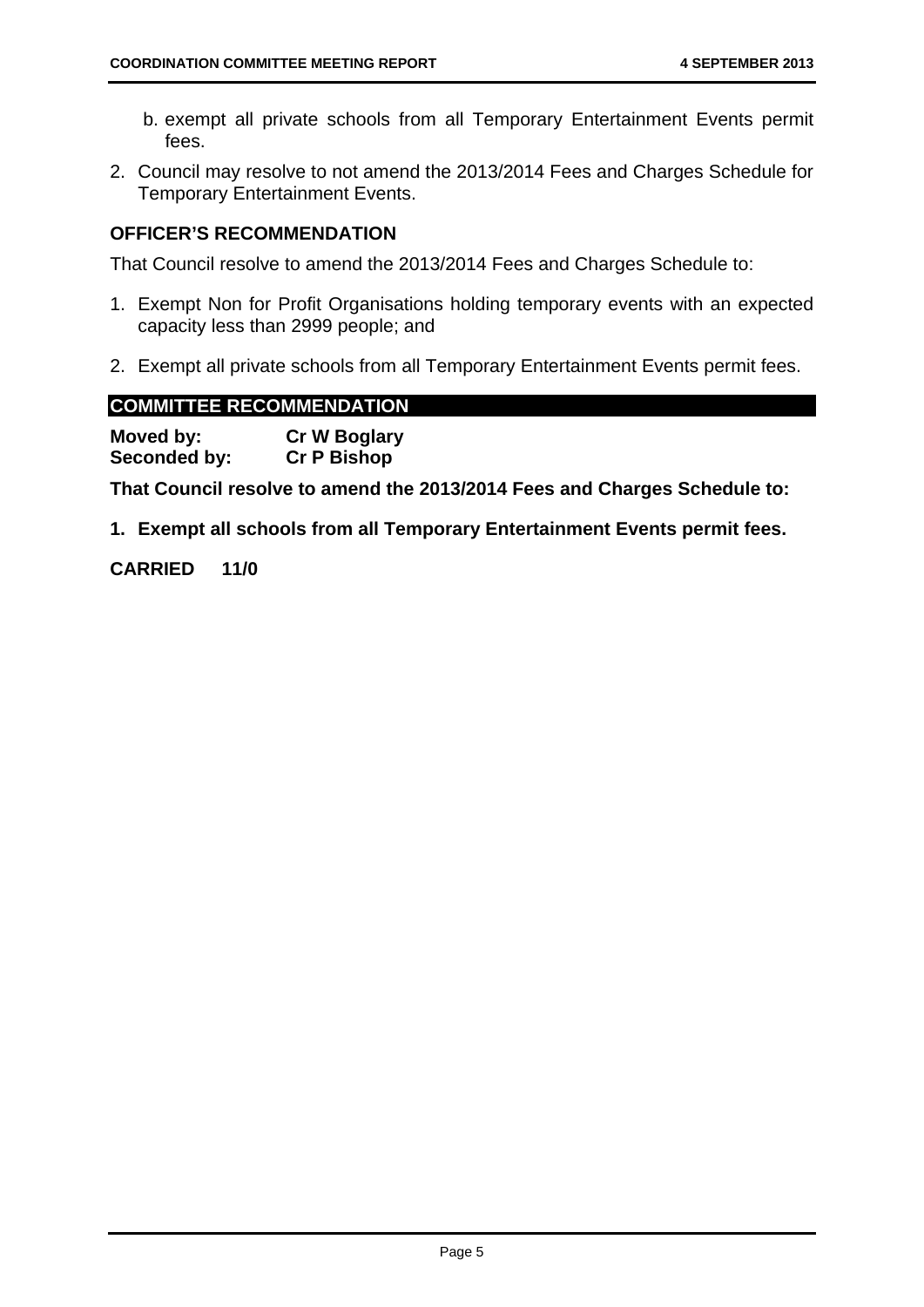- b. exempt all private schools from all Temporary Entertainment Events permit fees.
- 2. Council may resolve to not amend the 2013/2014 Fees and Charges Schedule for Temporary Entertainment Events.

# **OFFICER'S RECOMMENDATION**

That Council resolve to amend the 2013/2014 Fees and Charges Schedule to:

- 1. Exempt Non for Profit Organisations holding temporary events with an expected capacity less than 2999 people; and
- 2. Exempt all private schools from all Temporary Entertainment Events permit fees.

### **COMMITTEE RECOMMENDATION**

| Moved by:    | <b>Cr W Boglary</b> |
|--------------|---------------------|
| Seconded by: | <b>Cr P Bishop</b>  |

**That Council resolve to amend the 2013/2014 Fees and Charges Schedule to:** 

**1. Exempt all schools from all Temporary Entertainment Events permit fees.** 

**CARRIED 11/0**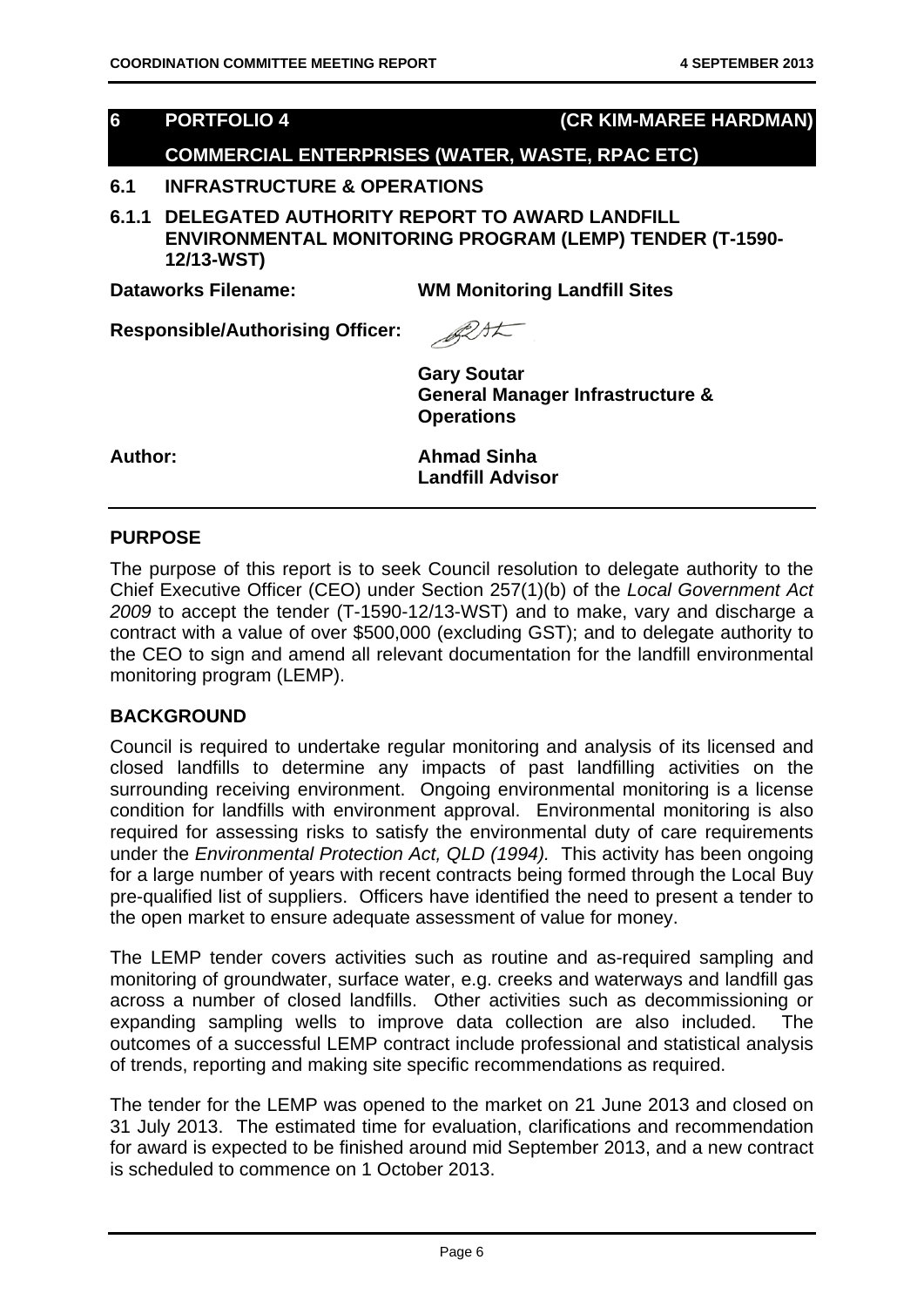# **6 PORTFOLIO 4 (CR KIM-MAREE HARDMAN)**

# **COMMERCIAL ENTERPRISES (WATER, WASTE, RPAC ETC)**

#### **6.1 INFRASTRUCTURE & OPERATIONS**

**6.1.1 DELEGATED AUTHORITY REPORT TO AWARD LANDFILL ENVIRONMENTAL MONITORING PROGRAM (LEMP) TENDER (T-1590- 12/13-WST)** 

**Dataworks Filename: WM Monitoring Landfill Sites** 

**Responsible/Authorising Officer:** 



**Gary Soutar General Manager Infrastructure & Operations** 

**Author: Ahmad Sinha Landfill Advisor** 

#### **PURPOSE**

The purpose of this report is to seek Council resolution to delegate authority to the Chief Executive Officer (CEO) under Section 257(1)(b) of the *Local Government Act 2009* to accept the tender (T-1590-12/13-WST) and to make, vary and discharge a contract with a value of over \$500,000 (excluding GST); and to delegate authority to the CEO to sign and amend all relevant documentation for the landfill environmental monitoring program (LEMP).

# **BACKGROUND**

Council is required to undertake regular monitoring and analysis of its licensed and closed landfills to determine any impacts of past landfilling activities on the surrounding receiving environment. Ongoing environmental monitoring is a license condition for landfills with environment approval. Environmental monitoring is also required for assessing risks to satisfy the environmental duty of care requirements under the *Environmental Protection Act, QLD (1994).* This activity has been ongoing for a large number of years with recent contracts being formed through the Local Buy pre-qualified list of suppliers. Officers have identified the need to present a tender to the open market to ensure adequate assessment of value for money.

The LEMP tender covers activities such as routine and as-required sampling and monitoring of groundwater, surface water, e.g. creeks and waterways and landfill gas across a number of closed landfills. Other activities such as decommissioning or expanding sampling wells to improve data collection are also included. The outcomes of a successful LEMP contract include professional and statistical analysis of trends, reporting and making site specific recommendations as required.

The tender for the LEMP was opened to the market on 21 June 2013 and closed on 31 July 2013. The estimated time for evaluation, clarifications and recommendation for award is expected to be finished around mid September 2013, and a new contract is scheduled to commence on 1 October 2013.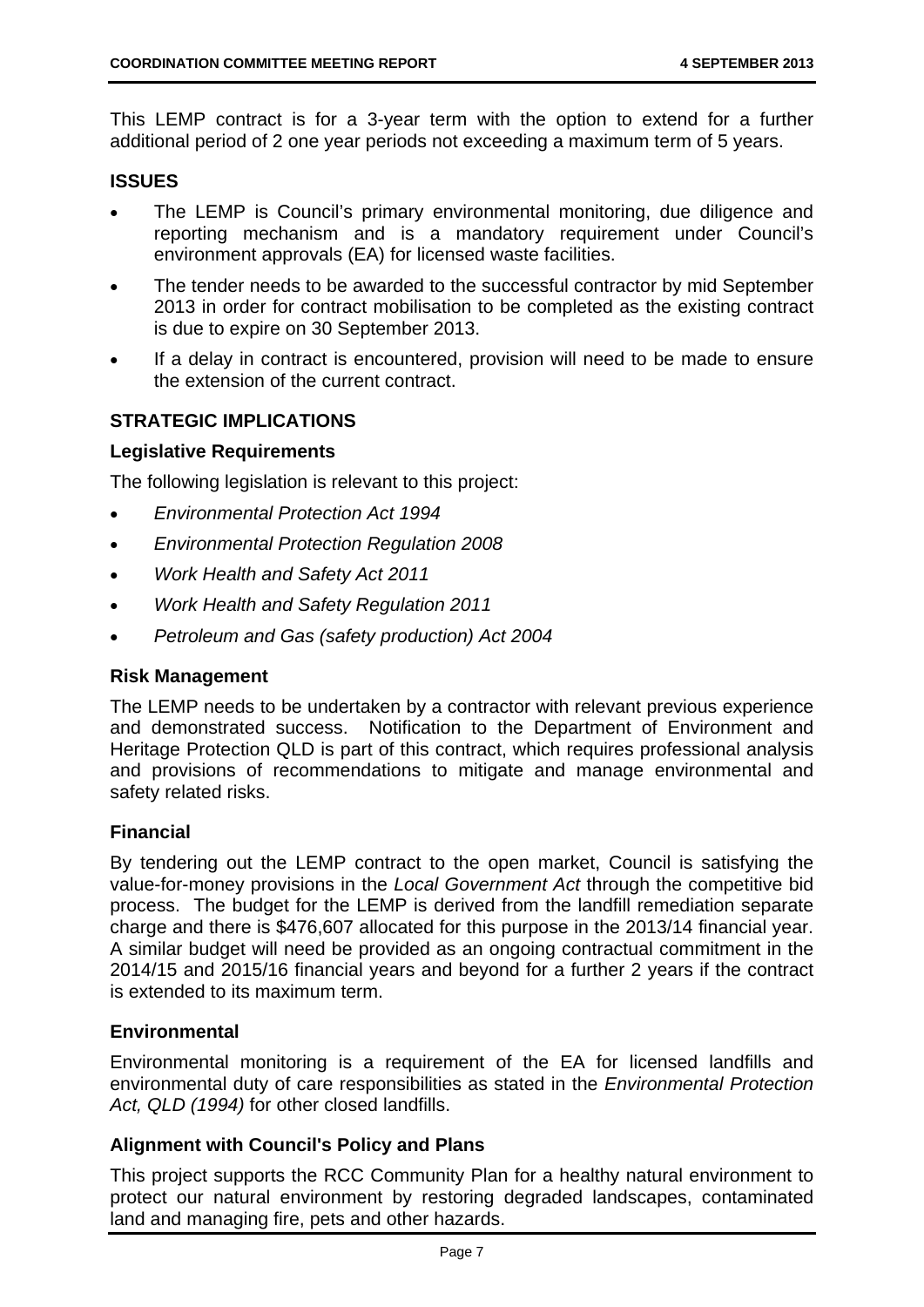This LEMP contract is for a 3-year term with the option to extend for a further additional period of 2 one year periods not exceeding a maximum term of 5 years.

#### **ISSUES**

- The LEMP is Council's primary environmental monitoring, due diligence and reporting mechanism and is a mandatory requirement under Council's environment approvals (EA) for licensed waste facilities.
- The tender needs to be awarded to the successful contractor by mid September 2013 in order for contract mobilisation to be completed as the existing contract is due to expire on 30 September 2013.
- If a delay in contract is encountered, provision will need to be made to ensure the extension of the current contract.

#### **STRATEGIC IMPLICATIONS**

#### **Legislative Requirements**

The following legislation is relevant to this project:

- *Environmental Protection Act 1994*
- *Environmental Protection Regulation 2008*
- *Work Health and Safety Act 2011*
- *Work Health and Safety Regulation 2011*
- *Petroleum and Gas (safety production) Act 2004*

#### **Risk Management**

The LEMP needs to be undertaken by a contractor with relevant previous experience and demonstrated success. Notification to the Department of Environment and Heritage Protection QLD is part of this contract, which requires professional analysis and provisions of recommendations to mitigate and manage environmental and safety related risks.

#### **Financial**

By tendering out the LEMP contract to the open market, Council is satisfying the value-for-money provisions in the *Local Government Act* through the competitive bid process. The budget for the LEMP is derived from the landfill remediation separate charge and there is \$476,607 allocated for this purpose in the 2013/14 financial year. A similar budget will need be provided as an ongoing contractual commitment in the 2014/15 and 2015/16 financial years and beyond for a further 2 years if the contract is extended to its maximum term.

#### **Environmental**

Environmental monitoring is a requirement of the EA for licensed landfills and environmental duty of care responsibilities as stated in the *Environmental Protection Act, QLD (1994)* for other closed landfills.

#### **Alignment with Council's Policy and Plans**

This project supports the RCC Community Plan for a healthy natural environment to protect our natural environment by restoring degraded landscapes, contaminated land and managing fire, pets and other hazards.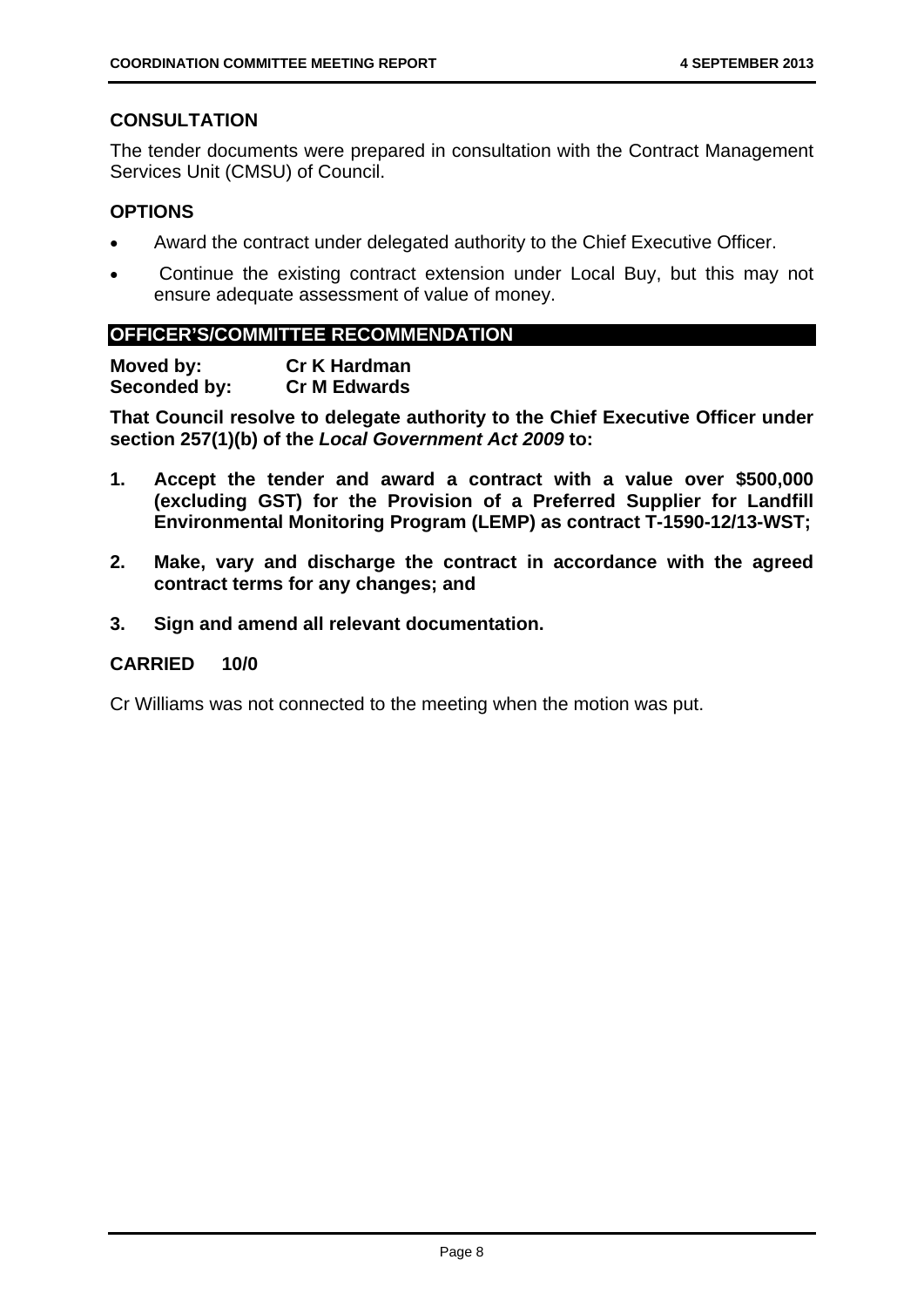#### **CONSULTATION**

The tender documents were prepared in consultation with the Contract Management Services Unit (CMSU) of Council.

#### **OPTIONS**

- Award the contract under delegated authority to the Chief Executive Officer.
- Continue the existing contract extension under Local Buy, but this may not ensure adequate assessment of value of money.

#### **OFFICER'S/COMMITTEE RECOMMENDATION**

**Moved by: Cr K Hardman Seconded by: Cr M Edwards** 

**That Council resolve to delegate authority to the Chief Executive Officer under section 257(1)(b) of the** *Local Government Act 2009* **to:**

- **1. Accept the tender and award a contract with a value over \$500,000 (excluding GST) for the Provision of a Preferred Supplier for Landfill Environmental Monitoring Program (LEMP) as contract T-1590-12/13-WST;**
- **2. Make, vary and discharge the contract in accordance with the agreed contract terms for any changes; and**
- **3. Sign and amend all relevant documentation.**

#### **CARRIED 10/0**

Cr Williams was not connected to the meeting when the motion was put.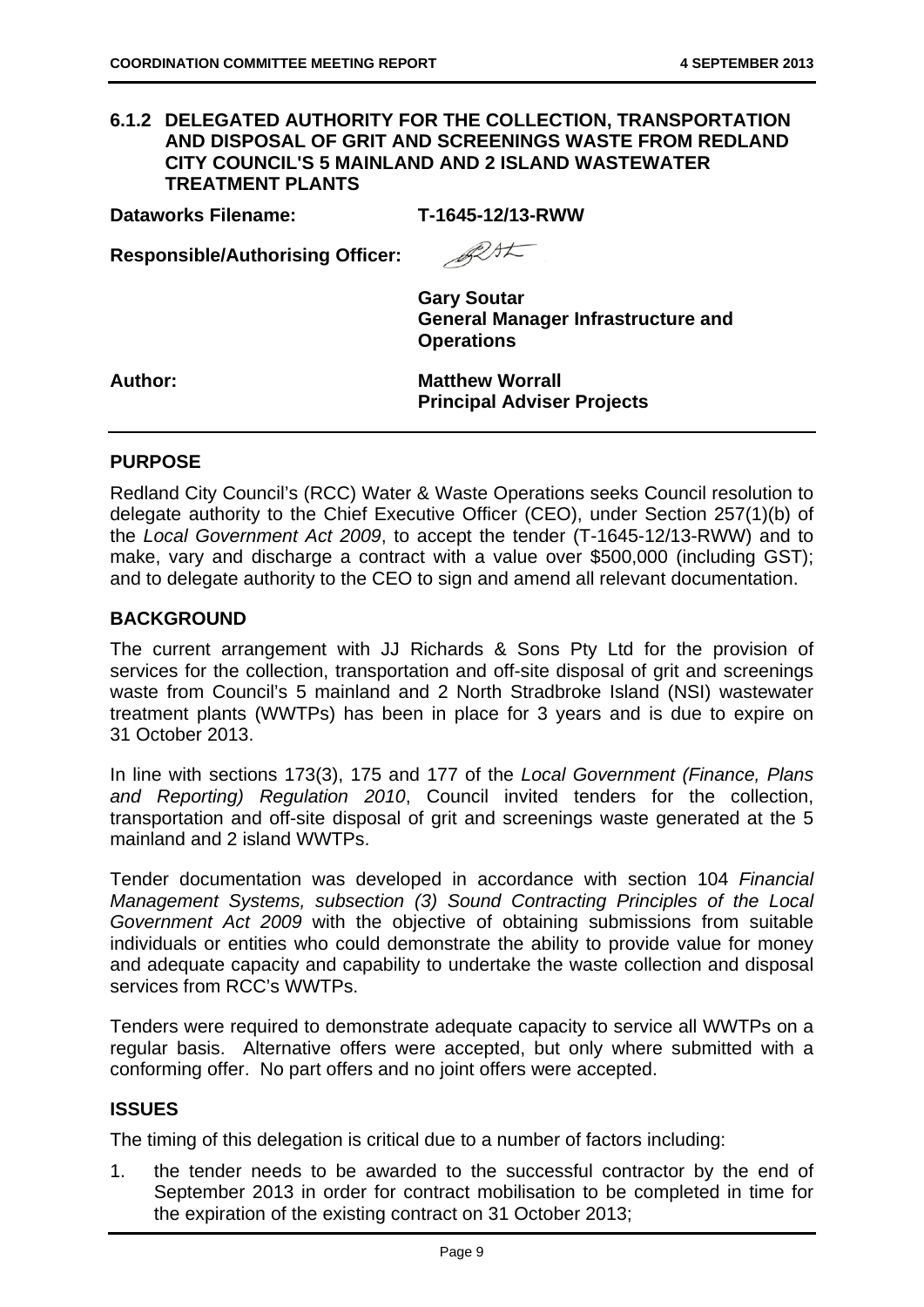#### **6.1.2 DELEGATED AUTHORITY FOR THE COLLECTION, TRANSPORTATION AND DISPOSAL OF GRIT AND SCREENINGS WASTE FROM REDLAND CITY COUNCIL'S 5 MAINLAND AND 2 ISLAND WASTEWATER TREATMENT PLANTS**

**Dataworks Filename: T-1645-12/13-RWW** 

**Responsible/Authorising Officer:** 

Best

**Gary Soutar General Manager Infrastructure and Operations** 

Author: Matthew Worrall **Principal Adviser Projects** 

#### **PURPOSE**

Redland City Council's (RCC) Water & Waste Operations seeks Council resolution to delegate authority to the Chief Executive Officer (CEO), under Section 257(1)(b) of the *Local Government Act 2009*, to accept the tender (T-1645-12/13-RWW) and to make, vary and discharge a contract with a value over \$500,000 (including GST): and to delegate authority to the CEO to sign and amend all relevant documentation.

#### **BACKGROUND**

The current arrangement with JJ Richards & Sons Pty Ltd for the provision of services for the collection, transportation and off-site disposal of grit and screenings waste from Council's 5 mainland and 2 North Stradbroke Island (NSI) wastewater treatment plants (WWTPs) has been in place for 3 years and is due to expire on 31 October 2013.

In line with sections 173(3), 175 and 177 of the *Local Government (Finance, Plans and Reporting) Regulation 2010*, Council invited tenders for the collection, transportation and off-site disposal of grit and screenings waste generated at the 5 mainland and 2 island WWTPs.

Tender documentation was developed in accordance with section 104 *Financial Management Systems, subsection (3) Sound Contracting Principles of the Local Government Act 2009* with the objective of obtaining submissions from suitable individuals or entities who could demonstrate the ability to provide value for money and adequate capacity and capability to undertake the waste collection and disposal services from RCC's WWTPs.

Tenders were required to demonstrate adequate capacity to service all WWTPs on a regular basis. Alternative offers were accepted, but only where submitted with a conforming offer. No part offers and no joint offers were accepted.

### **ISSUES**

The timing of this delegation is critical due to a number of factors including:

1. the tender needs to be awarded to the successful contractor by the end of September 2013 in order for contract mobilisation to be completed in time for the expiration of the existing contract on 31 October 2013;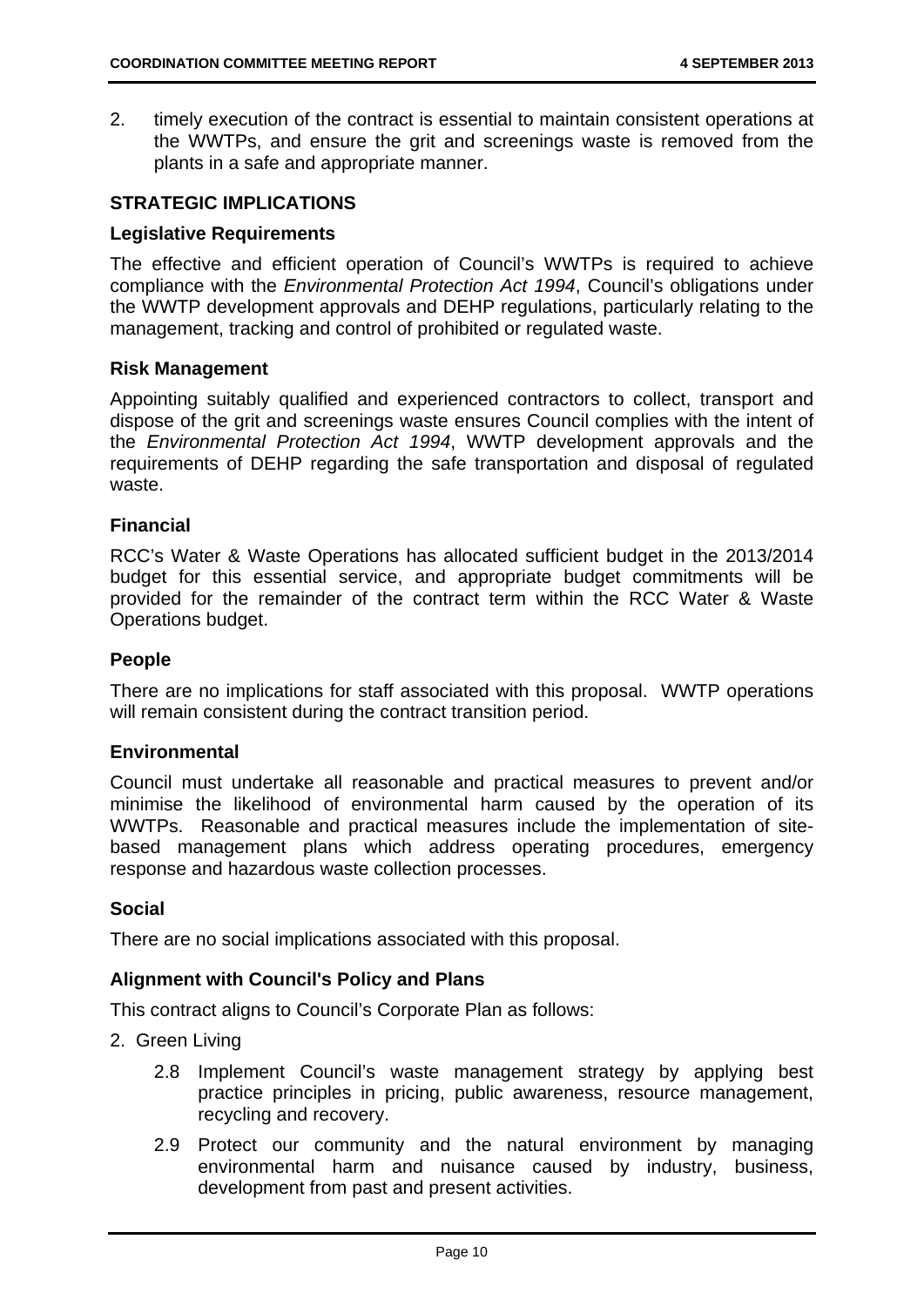2. timely execution of the contract is essential to maintain consistent operations at the WWTPs, and ensure the grit and screenings waste is removed from the plants in a safe and appropriate manner.

#### **STRATEGIC IMPLICATIONS**

#### **Legislative Requirements**

The effective and efficient operation of Council's WWTPs is required to achieve compliance with the *Environmental Protection Act 1994*, Council's obligations under the WWTP development approvals and DEHP regulations, particularly relating to the management, tracking and control of prohibited or regulated waste.

#### **Risk Management**

Appointing suitably qualified and experienced contractors to collect, transport and dispose of the grit and screenings waste ensures Council complies with the intent of the *Environmental Protection Act 1994*, WWTP development approvals and the requirements of DEHP regarding the safe transportation and disposal of regulated waste.

#### **Financial**

RCC's Water & Waste Operations has allocated sufficient budget in the 2013/2014 budget for this essential service, and appropriate budget commitments will be provided for the remainder of the contract term within the RCC Water & Waste Operations budget.

#### **People**

There are no implications for staff associated with this proposal. WWTP operations will remain consistent during the contract transition period.

#### **Environmental**

Council must undertake all reasonable and practical measures to prevent and/or minimise the likelihood of environmental harm caused by the operation of its WWTPs. Reasonable and practical measures include the implementation of sitebased management plans which address operating procedures, emergency response and hazardous waste collection processes.

#### **Social**

There are no social implications associated with this proposal.

#### **Alignment with Council's Policy and Plans**

This contract aligns to Council's Corporate Plan as follows:

- 2. Green Living
	- 2.8 Implement Council's waste management strategy by applying best practice principles in pricing, public awareness, resource management, recycling and recovery.
	- 2.9 Protect our community and the natural environment by managing environmental harm and nuisance caused by industry, business, development from past and present activities.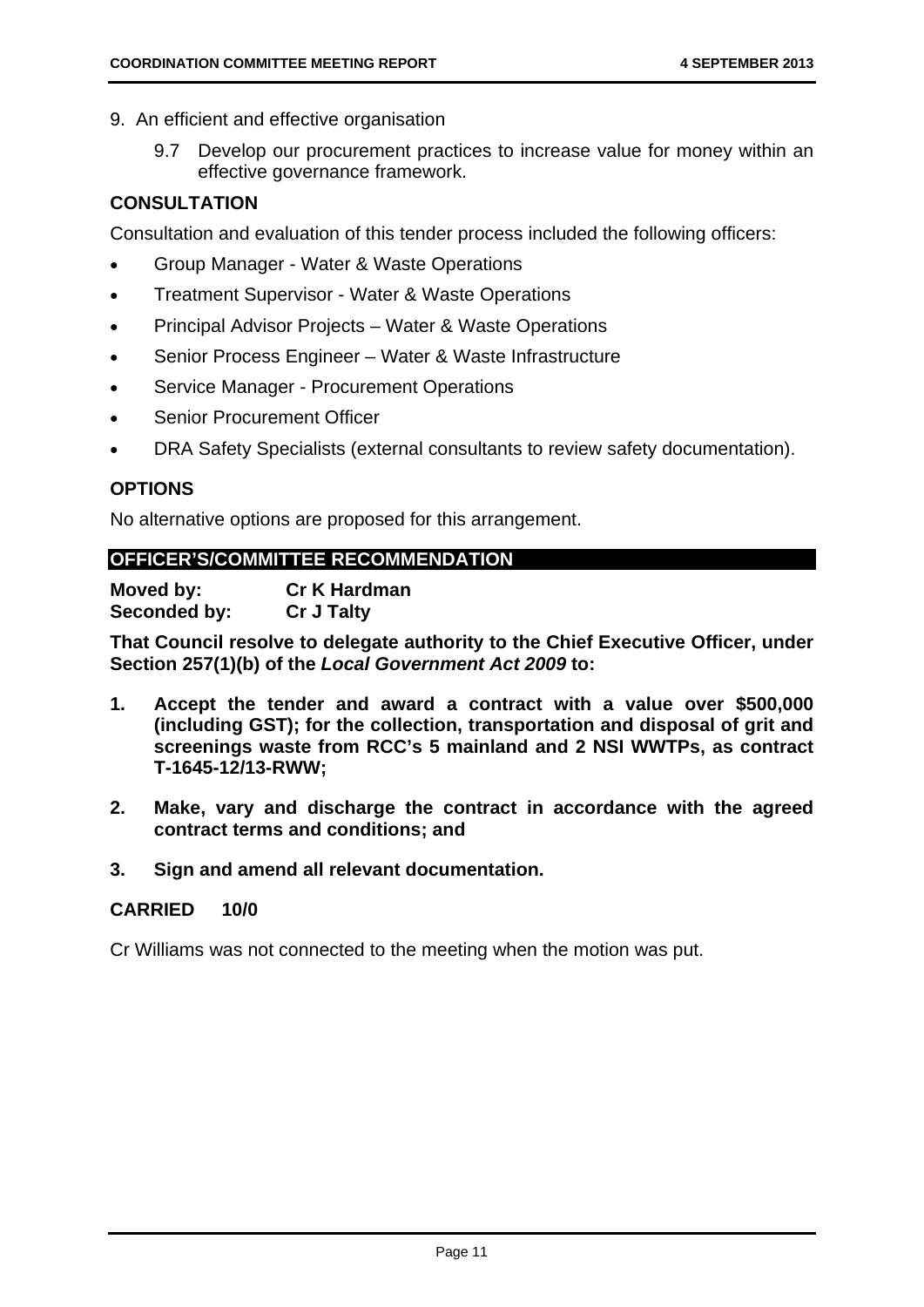- 9. An efficient and effective organisation
	- 9.7 Develop our procurement practices to increase value for money within an effective governance framework.

# **CONSULTATION**

Consultation and evaluation of this tender process included the following officers:

- Group Manager Water & Waste Operations
- Treatment Supervisor Water & Waste Operations
- Principal Advisor Projects Water & Waste Operations
- Senior Process Engineer Water & Waste Infrastructure
- Service Manager Procurement Operations
- Senior Procurement Officer
- DRA Safety Specialists (external consultants to review safety documentation).

# **OPTIONS**

No alternative options are proposed for this arrangement.

# **OFFICER'S/COMMITTEE RECOMMENDATION**

**Moved by: Cr K Hardman Seconded by: Cr J Talty** 

**That Council resolve to delegate authority to the Chief Executive Officer, under Section 257(1)(b) of the** *Local Government Act 2009* **to:** 

- **1. Accept the tender and award a contract with a value over \$500,000 (including GST); for the collection, transportation and disposal of grit and screenings waste from RCC's 5 mainland and 2 NSI WWTPs, as contract T-1645-12/13-RWW;**
- **2. Make, vary and discharge the contract in accordance with the agreed contract terms and conditions; and**
- **3. Sign and amend all relevant documentation.**

## **CARRIED 10/0**

Cr Williams was not connected to the meeting when the motion was put.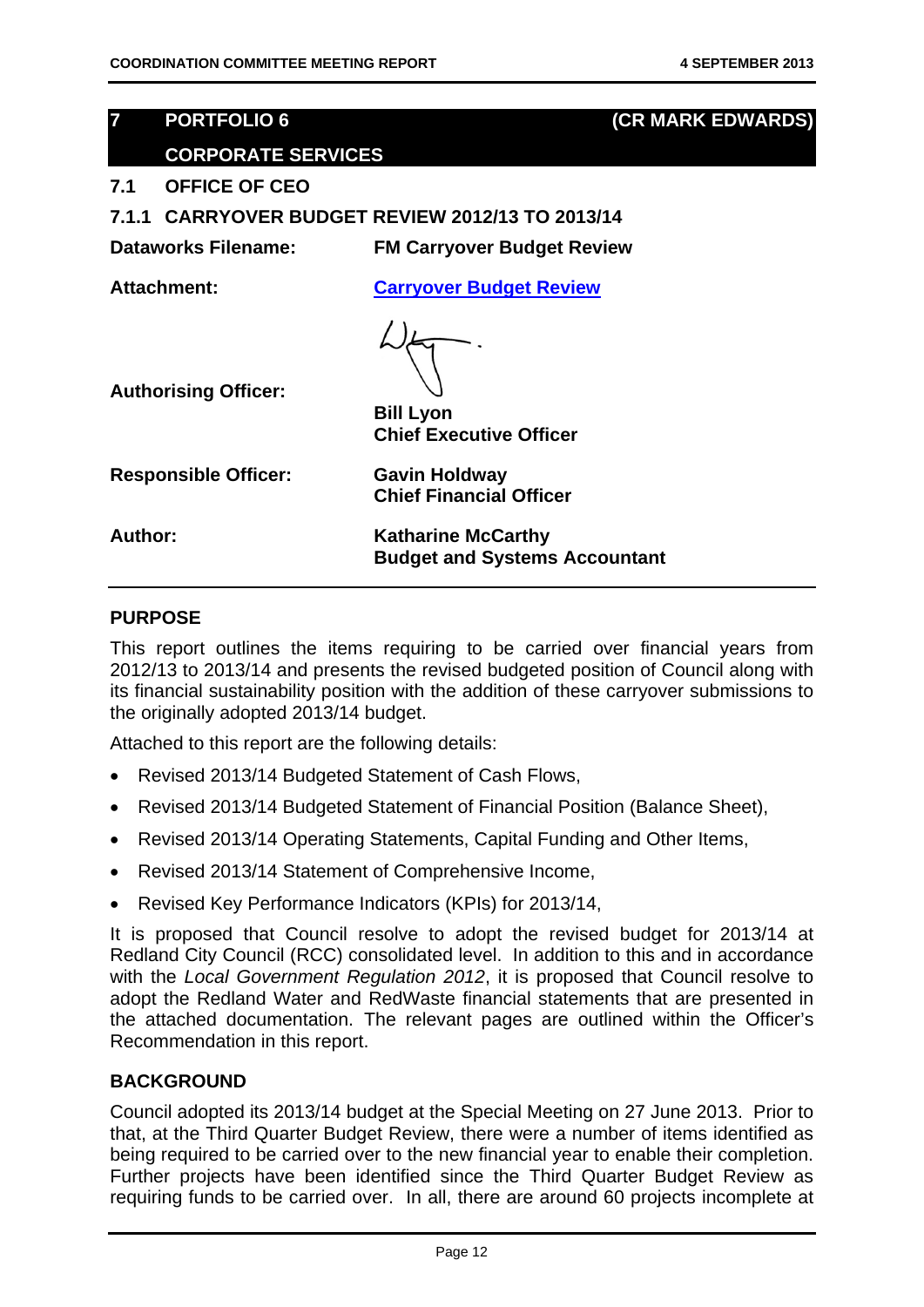# **7 PORTFOLIO 6 (CR MARK EDWARDS)**

# **CORPORATE SERVICES**

#### **7.1 OFFICE OF CEO**

**7.1.1 CARRYOVER BUDGET REVIEW 2012/13 TO 2013/14** 

**Dataworks Filename: FM Carryover Budget Review** 

**Attachment: Carryover Budget Review**



**Authorising Officer:** 

**Bill Lyon Chief Executive Officer** 

**Chief Financial Officer** 

**Responsible Officer: Gavin Holdway** 

Author: **Katharine McCarthy Budget and Systems Accountant** 

# **PURPOSE**

This report outlines the items requiring to be carried over financial years from 2012/13 to 2013/14 and presents the revised budgeted position of Council along with its financial sustainability position with the addition of these carryover submissions to the originally adopted 2013/14 budget.

Attached to this report are the following details:

- Revised 2013/14 Budgeted Statement of Cash Flows,
- Revised 2013/14 Budgeted Statement of Financial Position (Balance Sheet),
- Revised 2013/14 Operating Statements, Capital Funding and Other Items,
- Revised 2013/14 Statement of Comprehensive Income,
- Revised Key Performance Indicators (KPIs) for 2013/14,

It is proposed that Council resolve to adopt the revised budget for 2013/14 at Redland City Council (RCC) consolidated level. In addition to this and in accordance with the *Local Government Regulation 2012*, it is proposed that Council resolve to adopt the Redland Water and RedWaste financial statements that are presented in the attached documentation. The relevant pages are outlined within the Officer's Recommendation in this report.

### **BACKGROUND**

Council adopted its 2013/14 budget at the Special Meeting on 27 June 2013. Prior to that, at the Third Quarter Budget Review, there were a number of items identified as being required to be carried over to the new financial year to enable their completion. Further projects have been identified since the Third Quarter Budget Review as requiring funds to be carried over. In all, there are around 60 projects incomplete at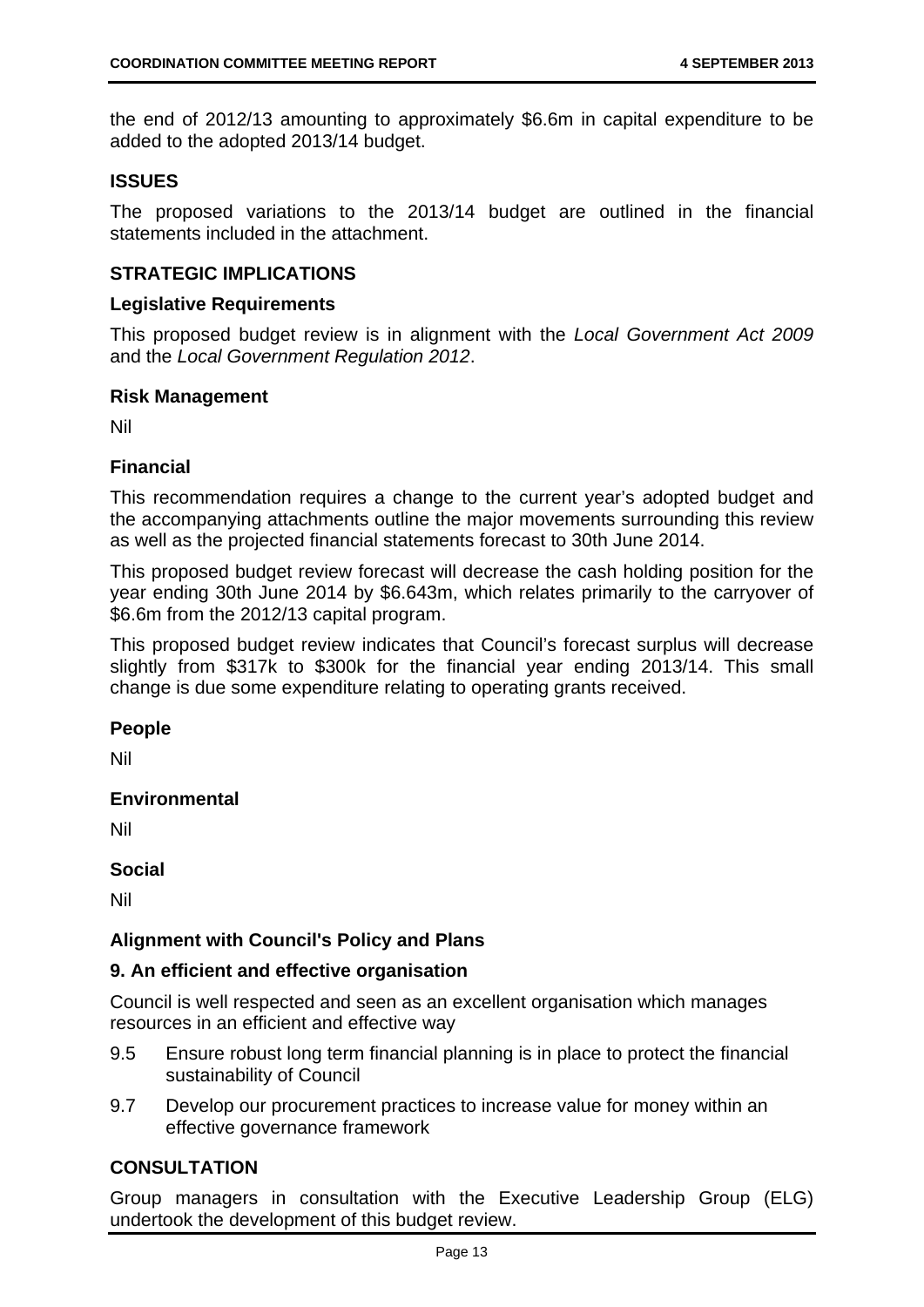the end of 2012/13 amounting to approximately \$6.6m in capital expenditure to be added to the adopted 2013/14 budget.

#### **ISSUES**

The proposed variations to the 2013/14 budget are outlined in the financial statements included in the attachment.

#### **STRATEGIC IMPLICATIONS**

#### **Legislative Requirements**

This proposed budget review is in alignment with the *Local Government Act 2009* and the *Local Government Regulation 2012*.

#### **Risk Management**

Nil

#### **Financial**

This recommendation requires a change to the current year's adopted budget and the accompanying attachments outline the major movements surrounding this review as well as the projected financial statements forecast to 30th June 2014.

This proposed budget review forecast will decrease the cash holding position for the year ending 30th June 2014 by \$6.643m, which relates primarily to the carryover of \$6.6m from the 2012/13 capital program.

This proposed budget review indicates that Council's forecast surplus will decrease slightly from \$317k to \$300k for the financial year ending 2013/14. This small change is due some expenditure relating to operating grants received.

#### **People**

Nil

#### **Environmental**

Nil

#### **Social**

Nil

#### **Alignment with Council's Policy and Plans**

#### **9. An efficient and effective organisation**

Council is well respected and seen as an excellent organisation which manages resources in an efficient and effective way

- 9.5 Ensure robust long term financial planning is in place to protect the financial sustainability of Council
- 9.7 Develop our procurement practices to increase value for money within an effective governance framework

# **CONSULTATION**

Group managers in consultation with the Executive Leadership Group (ELG) undertook the development of this budget review.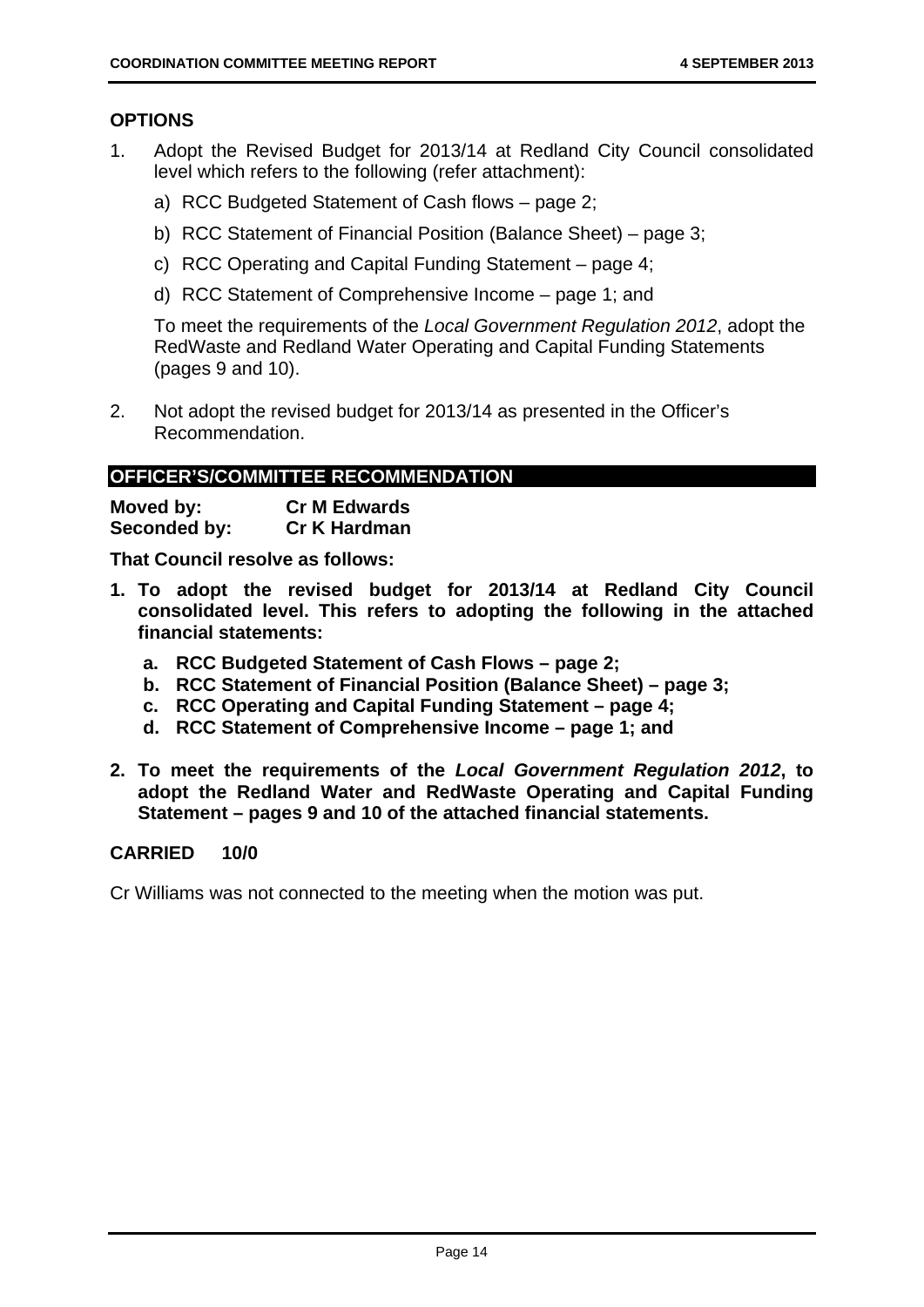#### **OPTIONS**

- 1. Adopt the Revised Budget for 2013/14 at Redland City Council consolidated level which refers to the following (refer attachment):
	- a) RCC Budgeted Statement of Cash flows page 2;
	- b) RCC Statement of Financial Position (Balance Sheet) page 3;
	- c) RCC Operating and Capital Funding Statement page 4;
	- d) RCC Statement of Comprehensive Income page 1; and

To meet the requirements of the *Local Government Regulation 2012*, adopt the RedWaste and Redland Water Operating and Capital Funding Statements (pages 9 and 10).

2. Not adopt the revised budget for 2013/14 as presented in the Officer's Recommendation.

#### **OFFICER'S/COMMITTEE RECOMMENDATION**

| Moved by:    | <b>Cr M Edwards</b> |
|--------------|---------------------|
| Seconded by: | <b>Cr K Hardman</b> |

**That Council resolve as follows:** 

- **1. To adopt the revised budget for 2013/14 at Redland City Council consolidated level. This refers to adopting the following in the attached financial statements:** 
	- **a. RCC Budgeted Statement of Cash Flows page 2;**
	- **b. RCC Statement of Financial Position (Balance Sheet) page 3;**
	- **c. RCC Operating and Capital Funding Statement page 4;**
	- **d. RCC Statement of Comprehensive Income page 1; and**
- **2. To meet the requirements of the** *Local Government Regulation 2012***, to adopt the Redland Water and RedWaste Operating and Capital Funding Statement – pages 9 and 10 of the attached financial statements.**

#### **CARRIED 10/0**

Cr Williams was not connected to the meeting when the motion was put.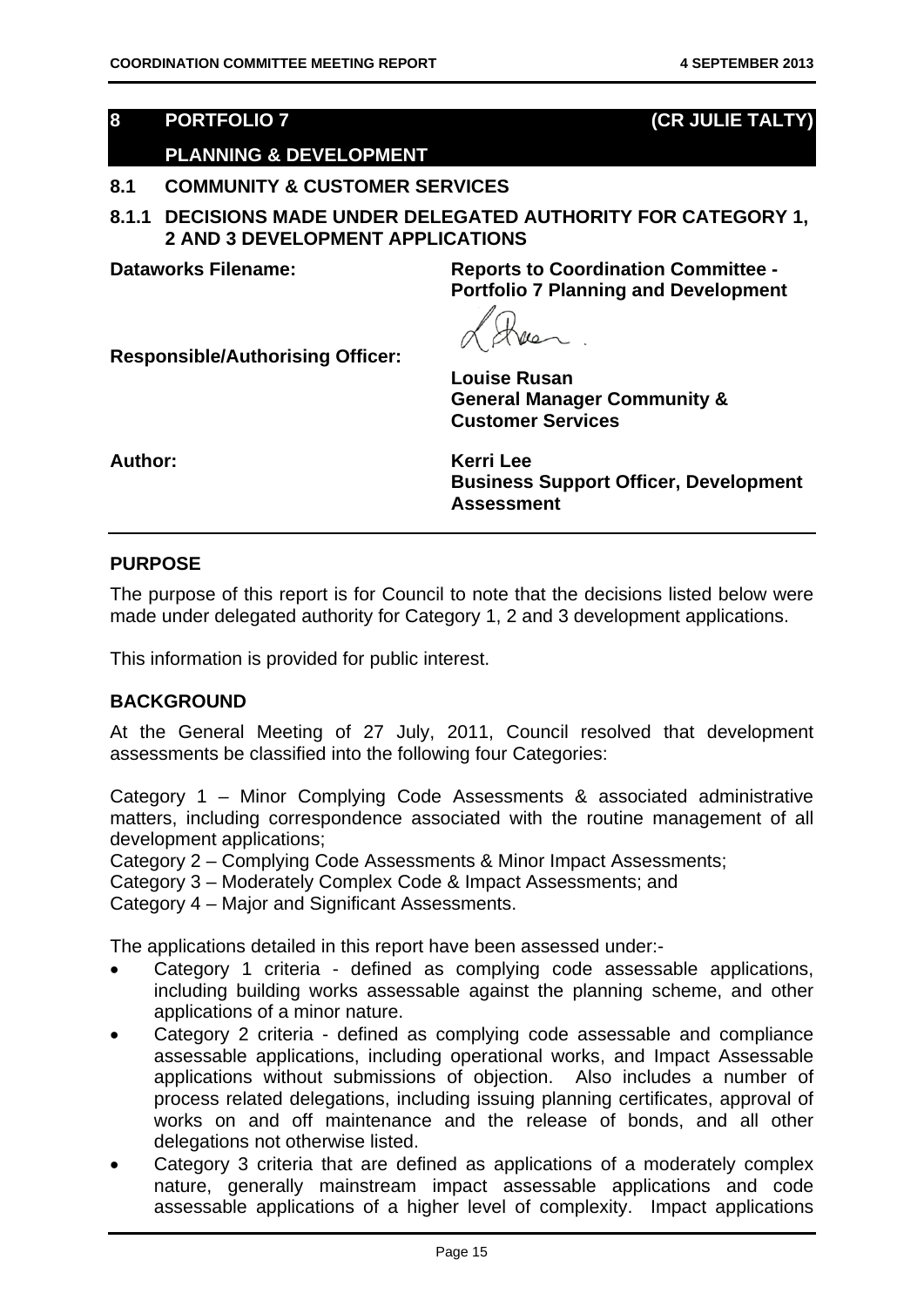# **8 PORTFOLIO 7 (CR JULIE TALTY)**

# **PLANNING & DEVELOPMENT**

#### **8.1 COMMUNITY & CUSTOMER SERVICES**

**8.1.1 DECISIONS MADE UNDER DELEGATED AUTHORITY FOR CATEGORY 1, 2 AND 3 DEVELOPMENT APPLICATIONS** 

**Dataworks Filename: Reports to Coordination Committee - Portfolio 7 Planning and Development** 

**Responsible/Authorising Officer:** 

**Louise Rusan General Manager Community & Customer Services** 

**Author: Kerri Lee** 

**Business Support Officer, Development Assessment** 

#### **PURPOSE**

The purpose of this report is for Council to note that the decisions listed below were made under delegated authority for Category 1, 2 and 3 development applications.

This information is provided for public interest.

### **BACKGROUND**

At the General Meeting of 27 July, 2011, Council resolved that development assessments be classified into the following four Categories:

Category 1 – Minor Complying Code Assessments & associated administrative matters, including correspondence associated with the routine management of all development applications;

Category 2 – Complying Code Assessments & Minor Impact Assessments;

Category 3 – Moderately Complex Code & Impact Assessments; and

Category 4 – Major and Significant Assessments.

The applications detailed in this report have been assessed under:-

- Category 1 criteria defined as complying code assessable applications, including building works assessable against the planning scheme, and other applications of a minor nature.
- Category 2 criteria defined as complying code assessable and compliance assessable applications, including operational works, and Impact Assessable applications without submissions of objection. Also includes a number of process related delegations, including issuing planning certificates, approval of works on and off maintenance and the release of bonds, and all other delegations not otherwise listed.
- Category 3 criteria that are defined as applications of a moderately complex nature, generally mainstream impact assessable applications and code assessable applications of a higher level of complexity. Impact applications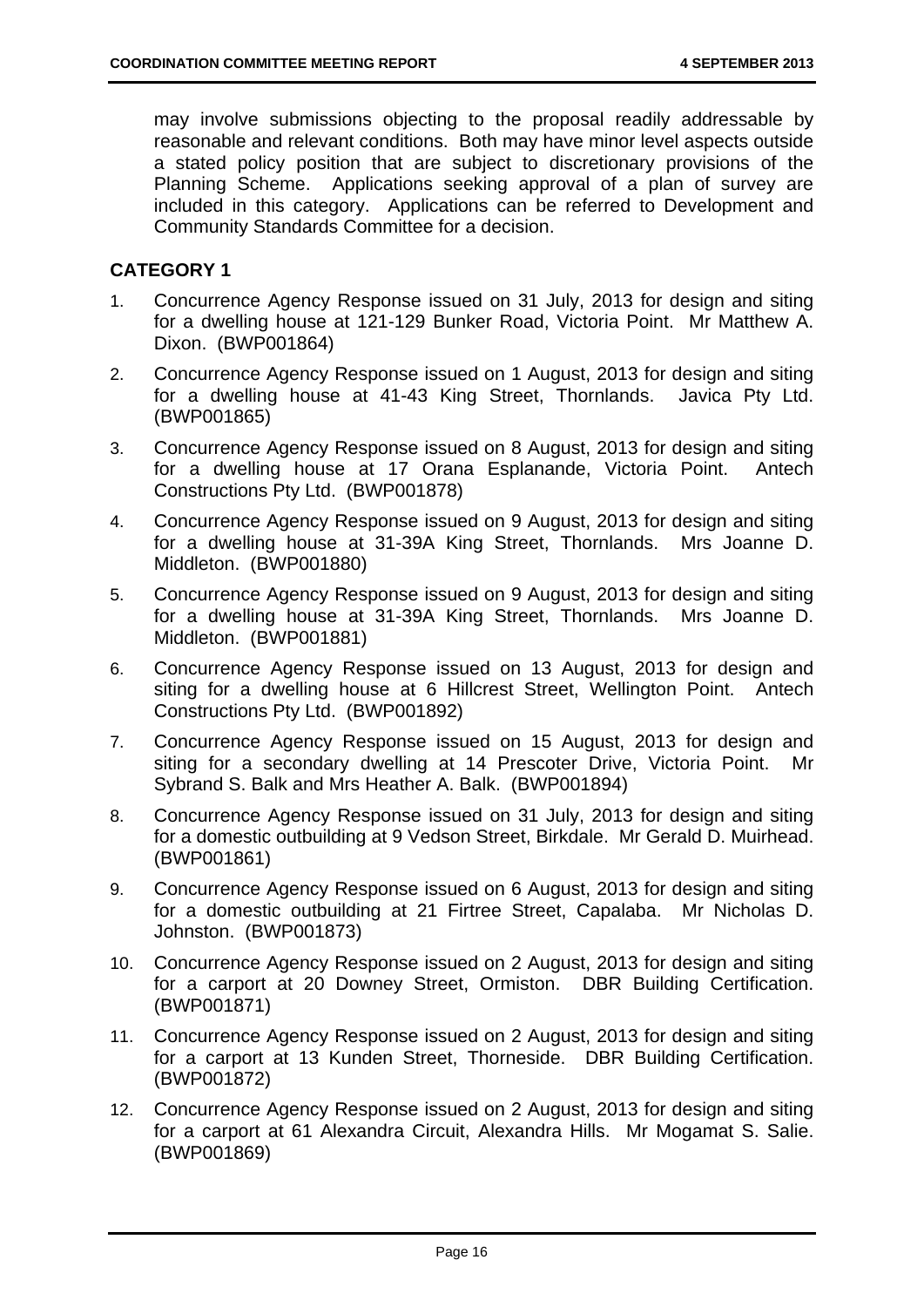may involve submissions objecting to the proposal readily addressable by reasonable and relevant conditions. Both may have minor level aspects outside a stated policy position that are subject to discretionary provisions of the Planning Scheme. Applications seeking approval of a plan of survey are included in this category. Applications can be referred to Development and Community Standards Committee for a decision.

#### **CATEGORY 1**

- 1. Concurrence Agency Response issued on 31 July, 2013 for design and siting for a dwelling house at 121-129 Bunker Road, Victoria Point. Mr Matthew A. Dixon. (BWP001864)
- 2. Concurrence Agency Response issued on 1 August, 2013 for design and siting for a dwelling house at 41-43 King Street, Thornlands. Javica Pty Ltd. (BWP001865)
- 3. Concurrence Agency Response issued on 8 August, 2013 for design and siting for a dwelling house at 17 Orana Esplanande, Victoria Point. Antech Constructions Pty Ltd. (BWP001878)
- 4. Concurrence Agency Response issued on 9 August, 2013 for design and siting for a dwelling house at 31-39A King Street, Thornlands. Mrs Joanne D. Middleton. (BWP001880)
- 5. Concurrence Agency Response issued on 9 August, 2013 for design and siting for a dwelling house at 31-39A King Street, Thornlands. Mrs Joanne D. Middleton. (BWP001881)
- 6. Concurrence Agency Response issued on 13 August, 2013 for design and siting for a dwelling house at 6 Hillcrest Street, Wellington Point. Antech Constructions Pty Ltd. (BWP001892)
- 7. Concurrence Agency Response issued on 15 August, 2013 for design and siting for a secondary dwelling at 14 Prescoter Drive, Victoria Point. Mr Sybrand S. Balk and Mrs Heather A. Balk. (BWP001894)
- 8. Concurrence Agency Response issued on 31 July, 2013 for design and siting for a domestic outbuilding at 9 Vedson Street, Birkdale. Mr Gerald D. Muirhead. (BWP001861)
- 9. Concurrence Agency Response issued on 6 August, 2013 for design and siting for a domestic outbuilding at 21 Firtree Street, Capalaba. Mr Nicholas D. Johnston. (BWP001873)
- 10. Concurrence Agency Response issued on 2 August, 2013 for design and siting for a carport at 20 Downey Street, Ormiston. DBR Building Certification. (BWP001871)
- 11. Concurrence Agency Response issued on 2 August, 2013 for design and siting for a carport at 13 Kunden Street, Thorneside. DBR Building Certification. (BWP001872)
- 12. Concurrence Agency Response issued on 2 August, 2013 for design and siting for a carport at 61 Alexandra Circuit, Alexandra Hills. Mr Mogamat S. Salie. (BWP001869)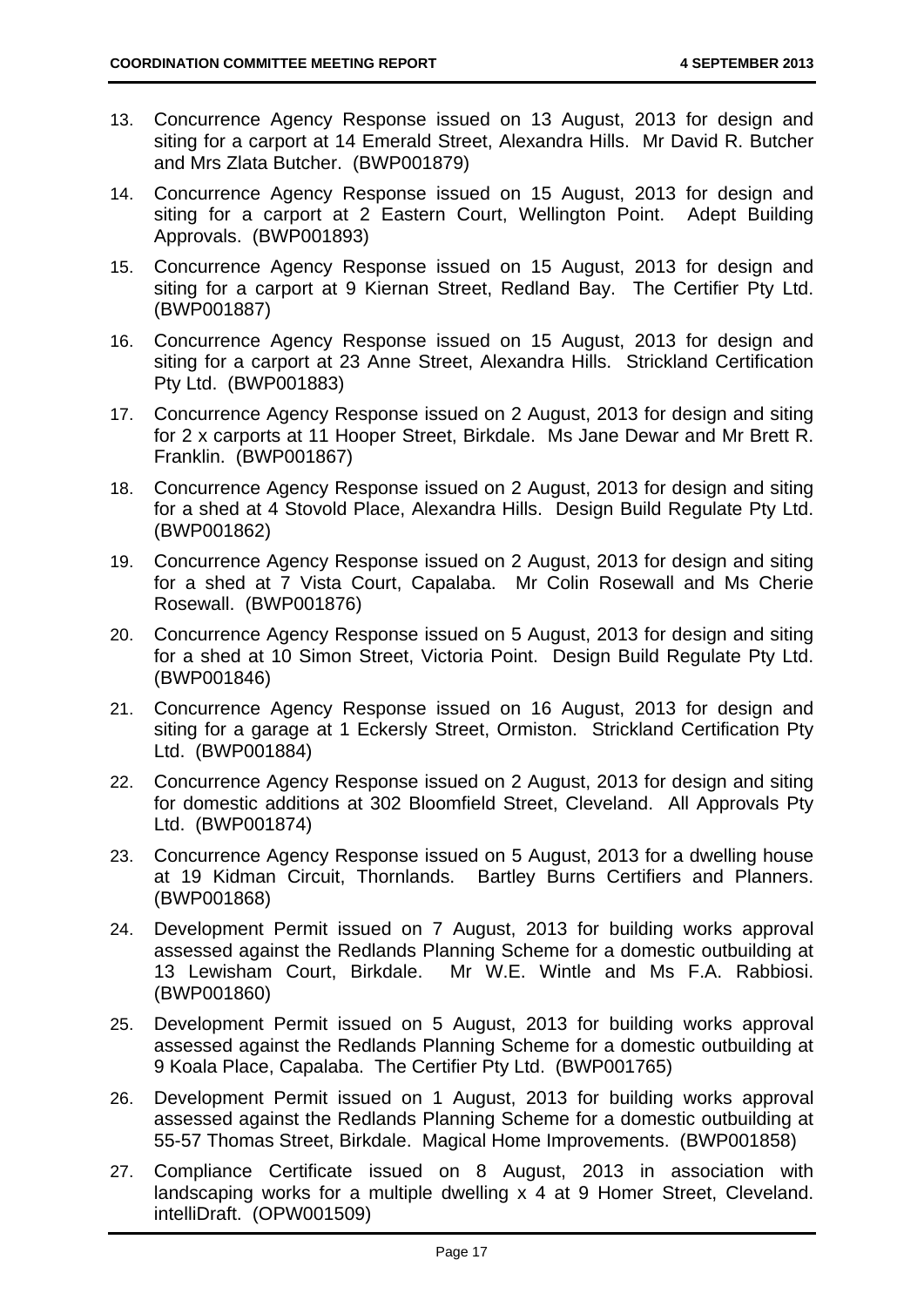- 13. Concurrence Agency Response issued on 13 August, 2013 for design and siting for a carport at 14 Emerald Street, Alexandra Hills. Mr David R. Butcher and Mrs Zlata Butcher. (BWP001879)
- 14. Concurrence Agency Response issued on 15 August, 2013 for design and siting for a carport at 2 Eastern Court, Wellington Point. Adept Building Approvals. (BWP001893)
- 15. Concurrence Agency Response issued on 15 August, 2013 for design and siting for a carport at 9 Kiernan Street, Redland Bay. The Certifier Pty Ltd. (BWP001887)
- 16. Concurrence Agency Response issued on 15 August, 2013 for design and siting for a carport at 23 Anne Street, Alexandra Hills. Strickland Certification Pty Ltd. (BWP001883)
- 17. Concurrence Agency Response issued on 2 August, 2013 for design and siting for 2 x carports at 11 Hooper Street, Birkdale. Ms Jane Dewar and Mr Brett R. Franklin. (BWP001867)
- 18. Concurrence Agency Response issued on 2 August, 2013 for design and siting for a shed at 4 Stovold Place, Alexandra Hills. Design Build Regulate Pty Ltd. (BWP001862)
- 19. Concurrence Agency Response issued on 2 August, 2013 for design and siting for a shed at 7 Vista Court, Capalaba. Mr Colin Rosewall and Ms Cherie Rosewall. (BWP001876)
- 20. Concurrence Agency Response issued on 5 August, 2013 for design and siting for a shed at 10 Simon Street, Victoria Point. Design Build Regulate Pty Ltd. (BWP001846)
- 21. Concurrence Agency Response issued on 16 August, 2013 for design and siting for a garage at 1 Eckersly Street, Ormiston. Strickland Certification Pty Ltd. (BWP001884)
- 22. Concurrence Agency Response issued on 2 August, 2013 for design and siting for domestic additions at 302 Bloomfield Street, Cleveland. All Approvals Pty Ltd. (BWP001874)
- 23. Concurrence Agency Response issued on 5 August, 2013 for a dwelling house at 19 Kidman Circuit, Thornlands. Bartley Burns Certifiers and Planners. (BWP001868)
- 24. Development Permit issued on 7 August, 2013 for building works approval assessed against the Redlands Planning Scheme for a domestic outbuilding at 13 Lewisham Court, Birkdale. Mr W.E. Wintle and Ms F.A. Rabbiosi. (BWP001860)
- 25. Development Permit issued on 5 August, 2013 for building works approval assessed against the Redlands Planning Scheme for a domestic outbuilding at 9 Koala Place, Capalaba. The Certifier Pty Ltd. (BWP001765)
- 26. Development Permit issued on 1 August, 2013 for building works approval assessed against the Redlands Planning Scheme for a domestic outbuilding at 55-57 Thomas Street, Birkdale. Magical Home Improvements. (BWP001858)
- 27. Compliance Certificate issued on 8 August, 2013 in association with landscaping works for a multiple dwelling x 4 at 9 Homer Street, Cleveland. intelliDraft. (OPW001509)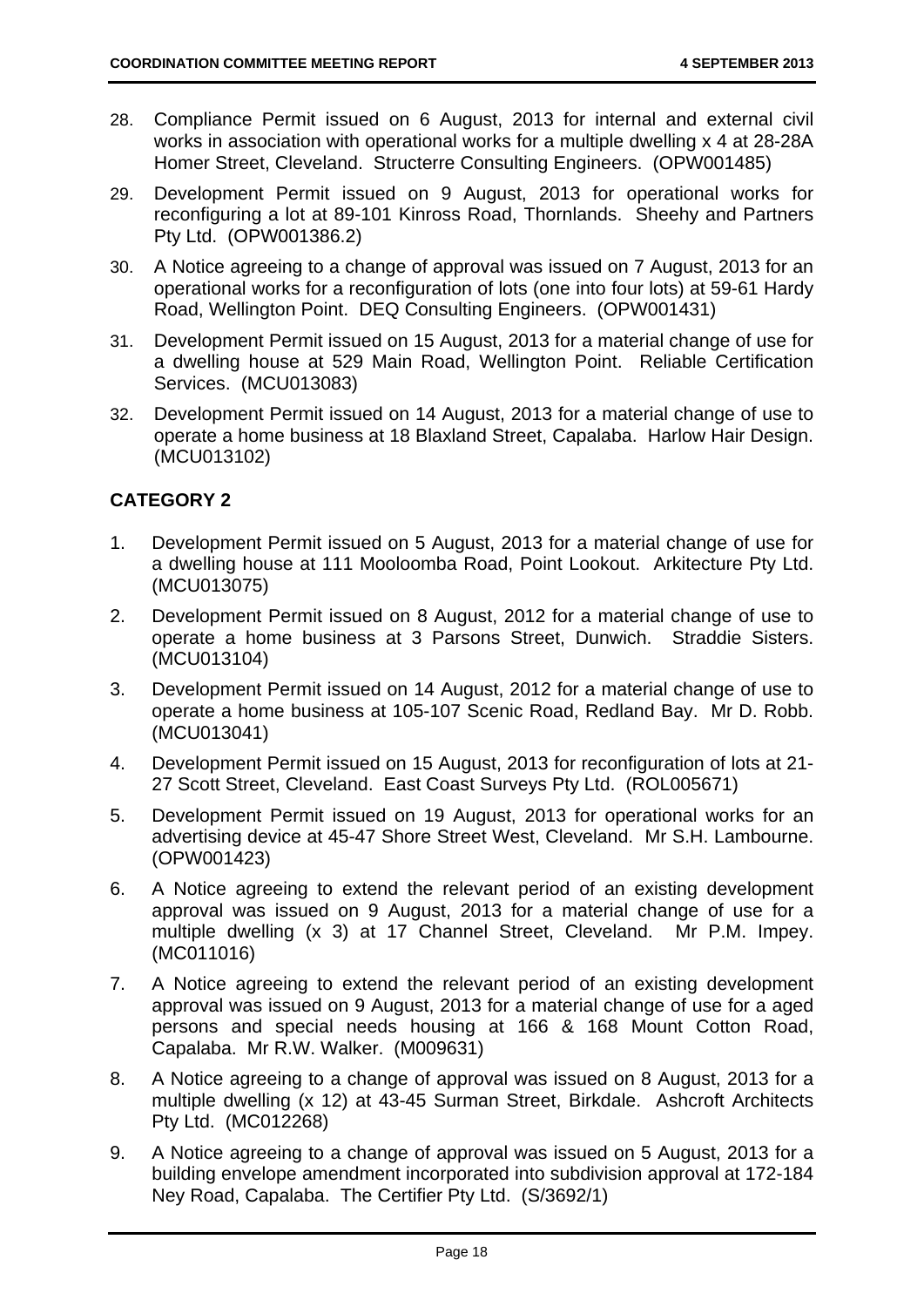- 28. Compliance Permit issued on 6 August, 2013 for internal and external civil works in association with operational works for a multiple dwelling x 4 at 28-28A Homer Street, Cleveland. Structerre Consulting Engineers. (OPW001485)
- 29. Development Permit issued on 9 August, 2013 for operational works for reconfiguring a lot at 89-101 Kinross Road, Thornlands. Sheehy and Partners Pty Ltd. (OPW001386.2)
- 30. A Notice agreeing to a change of approval was issued on 7 August, 2013 for an operational works for a reconfiguration of lots (one into four lots) at 59-61 Hardy Road, Wellington Point. DEQ Consulting Engineers. (OPW001431)
- 31. Development Permit issued on 15 August, 2013 for a material change of use for a dwelling house at 529 Main Road, Wellington Point. Reliable Certification Services. (MCU013083)
- 32. Development Permit issued on 14 August, 2013 for a material change of use to operate a home business at 18 Blaxland Street, Capalaba. Harlow Hair Design. (MCU013102)

# **CATEGORY 2**

- 1. Development Permit issued on 5 August, 2013 for a material change of use for a dwelling house at 111 Mooloomba Road, Point Lookout. Arkitecture Pty Ltd. (MCU013075)
- 2. Development Permit issued on 8 August, 2012 for a material change of use to operate a home business at 3 Parsons Street, Dunwich. Straddie Sisters. (MCU013104)
- 3. Development Permit issued on 14 August, 2012 for a material change of use to operate a home business at 105-107 Scenic Road, Redland Bay. Mr D. Robb. (MCU013041)
- 4. Development Permit issued on 15 August, 2013 for reconfiguration of lots at 21- 27 Scott Street, Cleveland. East Coast Surveys Pty Ltd. (ROL005671)
- 5. Development Permit issued on 19 August, 2013 for operational works for an advertising device at 45-47 Shore Street West, Cleveland. Mr S.H. Lambourne. (OPW001423)
- 6. A Notice agreeing to extend the relevant period of an existing development approval was issued on 9 August, 2013 for a material change of use for a multiple dwelling (x 3) at 17 Channel Street, Cleveland. Mr P.M. Impey. (MC011016)
- 7. A Notice agreeing to extend the relevant period of an existing development approval was issued on 9 August, 2013 for a material change of use for a aged persons and special needs housing at 166 & 168 Mount Cotton Road, Capalaba. Mr R.W. Walker. (M009631)
- 8. A Notice agreeing to a change of approval was issued on 8 August, 2013 for a multiple dwelling (x 12) at 43-45 Surman Street, Birkdale. Ashcroft Architects Pty Ltd. (MC012268)
- 9. A Notice agreeing to a change of approval was issued on 5 August, 2013 for a building envelope amendment incorporated into subdivision approval at 172-184 Ney Road, Capalaba. The Certifier Pty Ltd. (S/3692/1)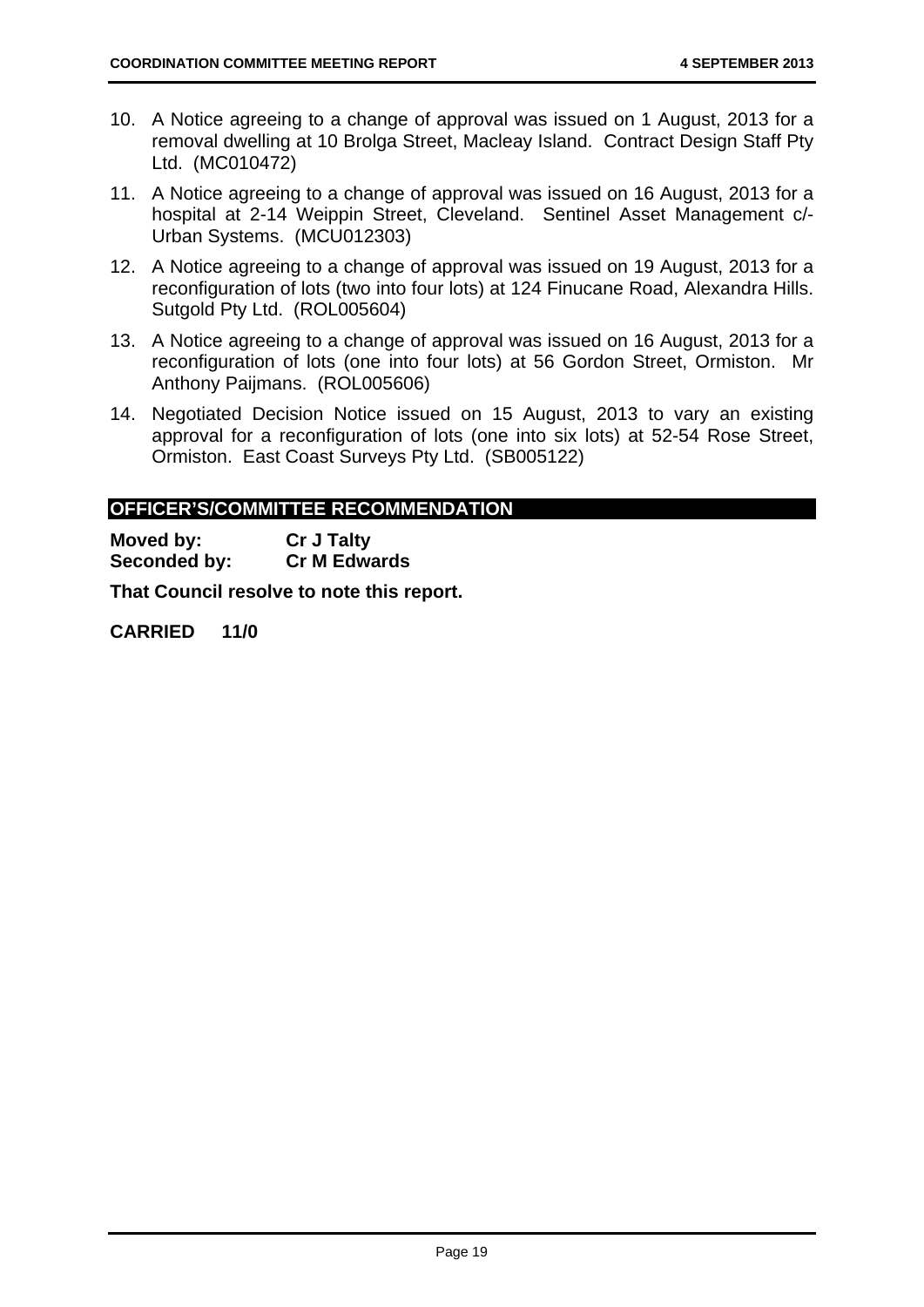- 10. A Notice agreeing to a change of approval was issued on 1 August, 2013 for a removal dwelling at 10 Brolga Street, Macleay Island. Contract Design Staff Pty Ltd. (MC010472)
- 11. A Notice agreeing to a change of approval was issued on 16 August, 2013 for a hospital at 2-14 Weippin Street, Cleveland. Sentinel Asset Management c/- Urban Systems. (MCU012303)
- 12. A Notice agreeing to a change of approval was issued on 19 August, 2013 for a reconfiguration of lots (two into four lots) at 124 Finucane Road, Alexandra Hills. Sutgold Pty Ltd. (ROL005604)
- 13. A Notice agreeing to a change of approval was issued on 16 August, 2013 for a reconfiguration of lots (one into four lots) at 56 Gordon Street, Ormiston. Mr Anthony Paijmans. (ROL005606)
- 14. Negotiated Decision Notice issued on 15 August, 2013 to vary an existing approval for a reconfiguration of lots (one into six lots) at 52-54 Rose Street, Ormiston. East Coast Surveys Pty Ltd. (SB005122)

# **OFFICER'S/COMMITTEE RECOMMENDATION**

**Moved by: Cr J Talty Seconded by: Cr M Edwards** 

**That Council resolve to note this report.** 

**CARRIED 11/0**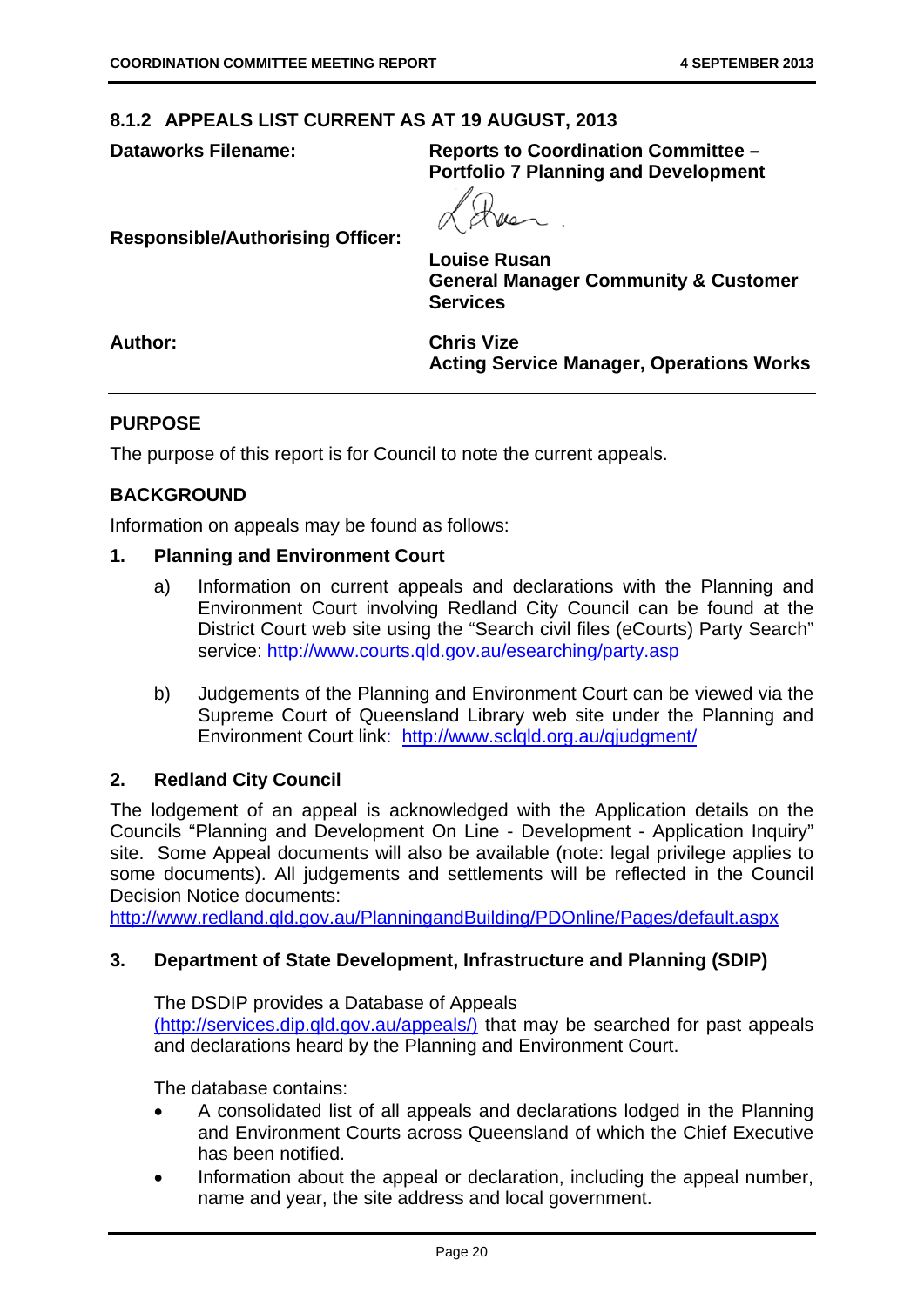**Responsible/Authorising Officer:** 

#### **8.1.2 APPEALS LIST CURRENT AS AT 19 AUGUST, 2013**

**Dataworks Filename: Reports to Coordination Committee – Portfolio 7 Planning and Development** 

**Louise Rusan General Manager Community & Customer Services** 

**Author: Chris Vize** 

**Acting Service Manager, Operations Works** 

#### **PURPOSE**

The purpose of this report is for Council to note the current appeals.

#### **BACKGROUND**

Information on appeals may be found as follows:

#### **1. Planning and Environment Court**

- a) Information on current appeals and declarations with the Planning and Environment Court involving Redland City Council can be found at the District Court web site using the "Search civil files (eCourts) Party Search" service: http://www.courts.qld.gov.au/esearching/party.asp
- b) Judgements of the Planning and Environment Court can be viewed via the Supreme Court of Queensland Library web site under the Planning and Environment Court link: http://www.sclqld.org.au/qjudgment/

#### **2. Redland City Council**

The lodgement of an appeal is acknowledged with the Application details on the Councils "Planning and Development On Line - Development - Application Inquiry" site. Some Appeal documents will also be available (note: legal privilege applies to some documents). All judgements and settlements will be reflected in the Council Decision Notice documents:

http://www.redland.qld.gov.au/PlanningandBuilding/PDOnline/Pages/default.aspx

#### **3. Department of State Development, Infrastructure and Planning (SDIP)**

The DSDIP provides a Database of Appeals

(http://services.dip.qld.gov.au/appeals/) that may be searched for past appeals and declarations heard by the Planning and Environment Court.

The database contains:

- A consolidated list of all appeals and declarations lodged in the Planning and Environment Courts across Queensland of which the Chief Executive has been notified.
- Information about the appeal or declaration, including the appeal number, name and year, the site address and local government.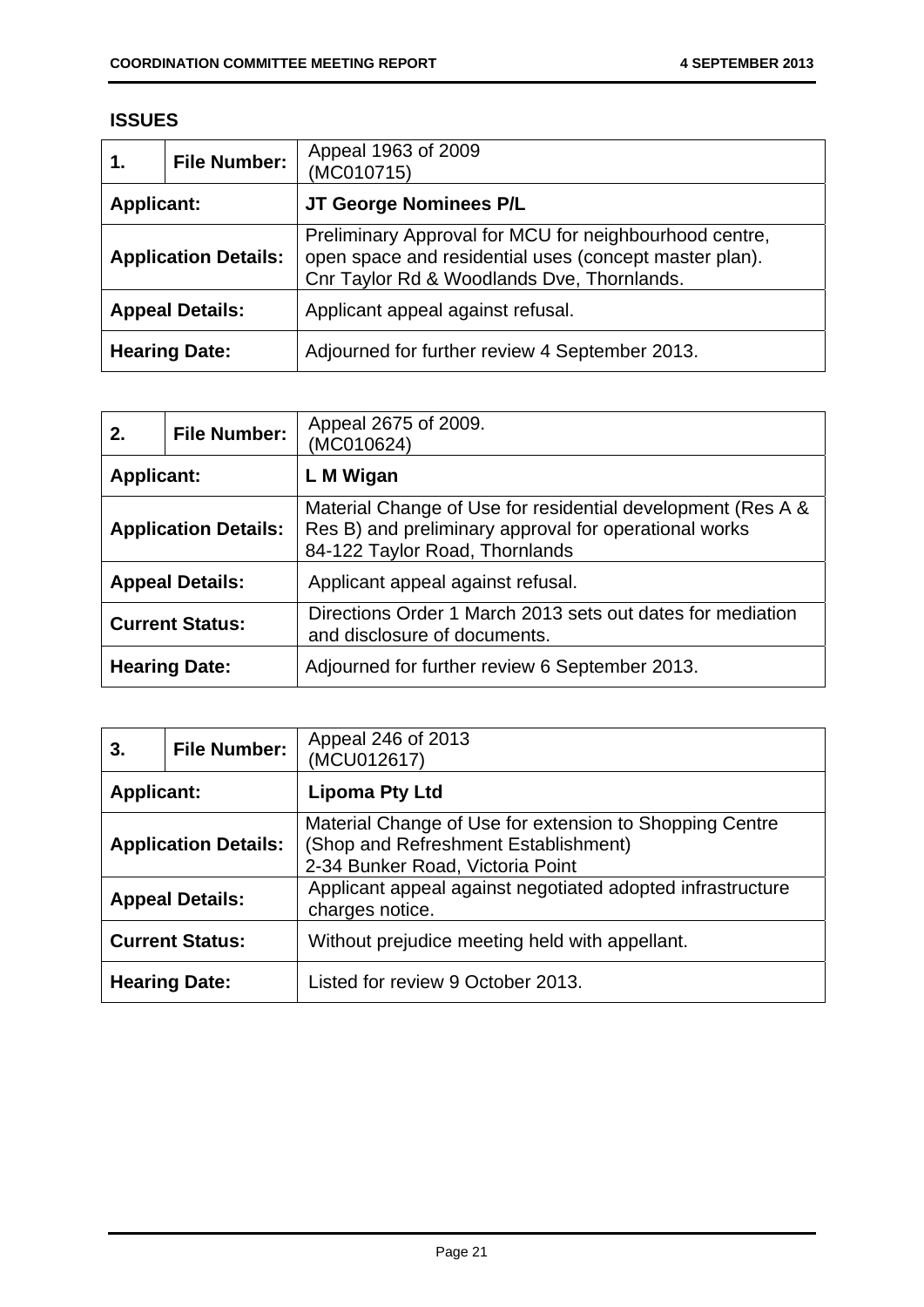#### **ISSUES**

| 1.                          | <b>File Number:</b> | Appeal 1963 of 2009<br>(MC010715)                                                                                                                              |
|-----------------------------|---------------------|----------------------------------------------------------------------------------------------------------------------------------------------------------------|
| <b>Applicant:</b>           |                     | JT George Nominees P/L                                                                                                                                         |
| <b>Application Details:</b> |                     | Preliminary Approval for MCU for neighbourhood centre,<br>open space and residential uses (concept master plan).<br>Cnr Taylor Rd & Woodlands Dve, Thornlands. |
| <b>Appeal Details:</b>      |                     | Applicant appeal against refusal.                                                                                                                              |
| <b>Hearing Date:</b>        |                     | Adjourned for further review 4 September 2013.                                                                                                                 |

| 2.                          | <b>File Number:</b> | Appeal 2675 of 2009.<br>(MC010624)                                                                                                                     |
|-----------------------------|---------------------|--------------------------------------------------------------------------------------------------------------------------------------------------------|
| <b>Applicant:</b>           |                     | L M Wigan                                                                                                                                              |
| <b>Application Details:</b> |                     | Material Change of Use for residential development (Res A &<br>Res B) and preliminary approval for operational works<br>84-122 Taylor Road, Thornlands |
| <b>Appeal Details:</b>      |                     | Applicant appeal against refusal.                                                                                                                      |
| <b>Current Status:</b>      |                     | Directions Order 1 March 2013 sets out dates for mediation<br>and disclosure of documents.                                                             |
| <b>Hearing Date:</b>        |                     | Adjourned for further review 6 September 2013.                                                                                                         |

| 3.                          | <b>File Number:</b> | Appeal 246 of 2013<br>(MCU012617)                                                                                                   |
|-----------------------------|---------------------|-------------------------------------------------------------------------------------------------------------------------------------|
| <b>Applicant:</b>           |                     | <b>Lipoma Pty Ltd</b>                                                                                                               |
| <b>Application Details:</b> |                     | Material Change of Use for extension to Shopping Centre<br>(Shop and Refreshment Establishment)<br>2-34 Bunker Road, Victoria Point |
| <b>Appeal Details:</b>      |                     | Applicant appeal against negotiated adopted infrastructure<br>charges notice.                                                       |
| <b>Current Status:</b>      |                     | Without prejudice meeting held with appellant.                                                                                      |
| <b>Hearing Date:</b>        |                     | Listed for review 9 October 2013.                                                                                                   |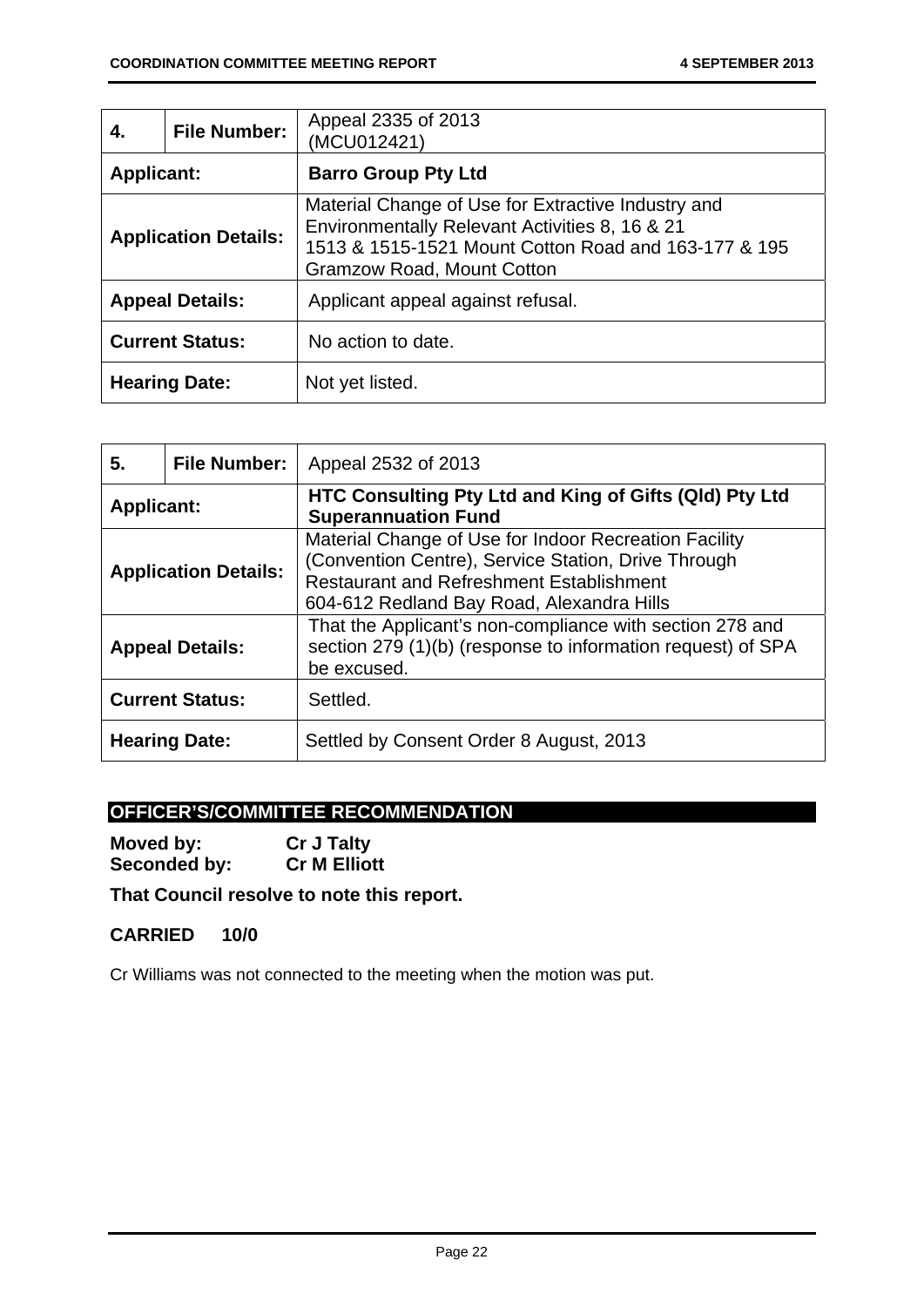| 4.                          | <b>File Number:</b> | Appeal 2335 of 2013<br>(MCU012421)                                                                                                                                                         |
|-----------------------------|---------------------|--------------------------------------------------------------------------------------------------------------------------------------------------------------------------------------------|
| <b>Applicant:</b>           |                     | <b>Barro Group Pty Ltd</b>                                                                                                                                                                 |
| <b>Application Details:</b> |                     | Material Change of Use for Extractive Industry and<br>Environmentally Relevant Activities 8, 16 & 21<br>1513 & 1515-1521 Mount Cotton Road and 163-177 & 195<br>Gramzow Road, Mount Cotton |
| <b>Appeal Details:</b>      |                     | Applicant appeal against refusal.                                                                                                                                                          |
| <b>Current Status:</b>      |                     | No action to date.                                                                                                                                                                         |
| <b>Hearing Date:</b>        |                     | Not yet listed.                                                                                                                                                                            |

| 5.                          | <b>File Number:</b> | Appeal 2532 of 2013                                                                                                                                                                                          |
|-----------------------------|---------------------|--------------------------------------------------------------------------------------------------------------------------------------------------------------------------------------------------------------|
| <b>Applicant:</b>           |                     | HTC Consulting Pty Ltd and King of Gifts (QId) Pty Ltd<br><b>Superannuation Fund</b>                                                                                                                         |
| <b>Application Details:</b> |                     | Material Change of Use for Indoor Recreation Facility<br>(Convention Centre), Service Station, Drive Through<br><b>Restaurant and Refreshment Establishment</b><br>604-612 Redland Bay Road, Alexandra Hills |
| <b>Appeal Details:</b>      |                     | That the Applicant's non-compliance with section 278 and<br>section 279 (1)(b) (response to information request) of SPA<br>be excused.                                                                       |
| <b>Current Status:</b>      |                     | Settled.                                                                                                                                                                                                     |
| <b>Hearing Date:</b>        |                     | Settled by Consent Order 8 August, 2013                                                                                                                                                                      |

# **OFFICER'S/COMMITTEE RECOMMENDATION**

**Moved by:** Cr J Talty<br> **Seconded by:** Cr M Elliott **Seconded by:** 

# **That Council resolve to note this report.**

### **CARRIED 10/0**

Cr Williams was not connected to the meeting when the motion was put.